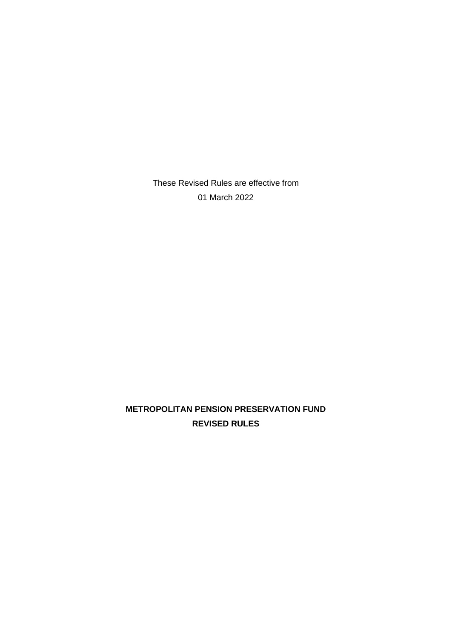These Revised Rules are effective from 01 March 2022

**METROPOLITAN PENSION PRESERVATION FUND REVISED RULES**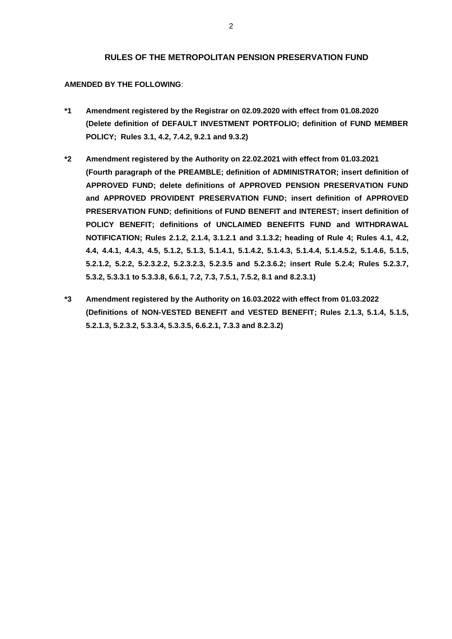#### **RULES OF THE METROPOLITAN PENSION PRESERVATION FUND**

#### **AMENDED BY THE FOLLOWING**:

- **\*1 Amendment registered by the Registrar on 02.09.2020 with effect from 01.08.2020 (Delete definition of DEFAULT INVESTMENT PORTFOLIO; definition of FUND MEMBER POLICY; Rules 3.1, 4.2, 7.4.2, 9.2.1 and 9.3.2)**
- **\*2 Amendment registered by the Authority on 22.02.2021 with effect from 01.03.2021 (Fourth paragraph of the PREAMBLE; definition of ADMINISTRATOR; insert definition of APPROVED FUND; delete definitions of APPROVED PENSION PRESERVATION FUND and APPROVED PROVIDENT PRESERVATION FUND; insert definition of APPROVED PRESERVATION FUND; definitions of FUND BENEFIT and INTEREST; insert definition of POLICY BENEFIT; definitions of UNCLAIMED BENEFITS FUND and WITHDRAWAL NOTIFICATION; Rules 2.1.2, 2.1.4, 3.1.2.1 and 3.1.3.2; heading of Rule 4; Rules 4.1, 4.2, 4.4, 4.4.1, 4.4.3, 4.5, 5.1.2, 5.1.3, 5.1.4.1, 5.1.4.2, 5.1.4.3, 5.1.4.4, 5.1.4.5.2, 5.1.4.6, 5.1.5, 5.2.1.2, 5.2.2, 5.2.3.2.2, 5.2.3.2.3, 5.2.3.5 and 5.2.3.6.2; insert Rule 5.2.4; Rules 5.2.3.7, 5.3.2, 5.3.3.1 to 5.3.3.8, 6.6.1, 7.2, 7.3, 7.5.1, 7.5.2, 8.1 and 8.2.3.1)**
- **\*3 Amendment registered by the Authority on 16.03.2022 with effect from 01.03.2022 (Definitions of NON-VESTED BENEFIT and VESTED BENEFIT; Rules 2.1.3, 5.1.4, 5.1.5, 5.2.1.3, 5.2.3.2, 5.3.3.4, 5.3.3.5, 6.6.2.1, 7.3.3 and 8.2.3.2)**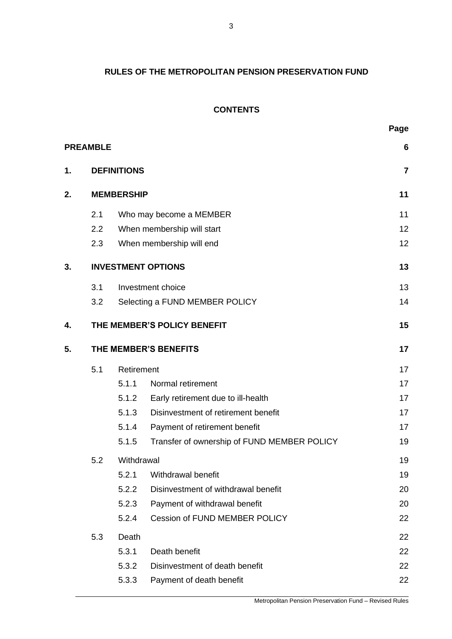# **RULES OF THE METROPOLITAN PENSION PRESERVATION FUND**

# **CONTENTS**

|    | <b>PREAMBLE</b>           |                    |                                             | 6  |  |  |
|----|---------------------------|--------------------|---------------------------------------------|----|--|--|
| 1. |                           | <b>DEFINITIONS</b> |                                             |    |  |  |
| 2. | <b>MEMBERSHIP</b>         |                    |                                             |    |  |  |
|    | 2.1                       |                    | Who may become a MEMBER                     | 11 |  |  |
|    | 2.2                       |                    | When membership will start                  | 12 |  |  |
|    | 2.3                       |                    | When membership will end                    | 12 |  |  |
| 3. | <b>INVESTMENT OPTIONS</b> |                    |                                             |    |  |  |
|    | 3.1                       |                    | Investment choice                           | 13 |  |  |
|    | 3.2                       |                    | Selecting a FUND MEMBER POLICY              | 14 |  |  |
| 4. |                           |                    | THE MEMBER'S POLICY BENEFIT                 | 15 |  |  |
| 5. | THE MEMBER'S BENEFITS     |                    |                                             | 17 |  |  |
|    | 5.1                       | Retirement         |                                             | 17 |  |  |
|    |                           | 5.1.1              | Normal retirement                           | 17 |  |  |
|    |                           | 5.1.2              | Early retirement due to ill-health          | 17 |  |  |
|    |                           | 5.1.3              | Disinvestment of retirement benefit         | 17 |  |  |
|    |                           | 5.1.4              | Payment of retirement benefit               | 17 |  |  |
|    |                           | 5.1.5              | Transfer of ownership of FUND MEMBER POLICY | 19 |  |  |
|    | 5.2                       | Withdrawal         |                                             |    |  |  |
|    |                           | 5.2.1              | Withdrawal benefit                          | 19 |  |  |
|    |                           | 5.2.2              | Disinvestment of withdrawal benefit         | 20 |  |  |
|    |                           | 5.2.3              | Payment of withdrawal benefit               | 20 |  |  |
|    |                           | 5.2.4              | <b>Cession of FUND MEMBER POLICY</b>        | 22 |  |  |
|    | 5.3                       | Death              |                                             | 22 |  |  |
|    |                           | 5.3.1              | Death benefit                               | 22 |  |  |
|    |                           | 5.3.2              | Disinvestment of death benefit              | 22 |  |  |
|    |                           | 5.3.3              | Payment of death benefit                    | 22 |  |  |
|    |                           |                    |                                             |    |  |  |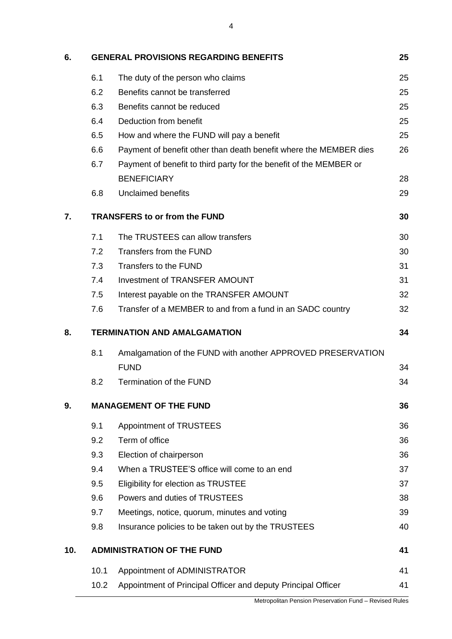| 6.  |                                      | <b>GENERAL PROVISIONS REGARDING BENEFITS</b>                       | 25 |  |  |
|-----|--------------------------------------|--------------------------------------------------------------------|----|--|--|
|     | 6.1                                  | The duty of the person who claims                                  | 25 |  |  |
|     | 6.2                                  | Benefits cannot be transferred                                     | 25 |  |  |
|     | 6.3                                  | Benefits cannot be reduced                                         | 25 |  |  |
|     | 6.4                                  | Deduction from benefit                                             | 25 |  |  |
|     | 6.5                                  | How and where the FUND will pay a benefit                          | 25 |  |  |
|     | 6.6                                  | Payment of benefit other than death benefit where the MEMBER dies  | 26 |  |  |
|     | 6.7                                  | Payment of benefit to third party for the benefit of the MEMBER or |    |  |  |
|     |                                      | <b>BENEFICIARY</b>                                                 | 28 |  |  |
|     | 6.8                                  | <b>Unclaimed benefits</b>                                          | 29 |  |  |
| 7.  | <b>TRANSFERS to or from the FUND</b> |                                                                    |    |  |  |
|     | 7.1                                  | The TRUSTEES can allow transfers                                   | 30 |  |  |
|     | 7.2                                  | Transfers from the FUND                                            | 30 |  |  |
|     | 7.3                                  | Transfers to the FUND                                              | 31 |  |  |
|     | 7.4                                  | <b>Investment of TRANSFER AMOUNT</b>                               | 31 |  |  |
|     | 7.5                                  | Interest payable on the TRANSFER AMOUNT                            | 32 |  |  |
|     | 7.6                                  | Transfer of a MEMBER to and from a fund in an SADC country         | 32 |  |  |
| 8.  | <b>TERMINATION AND AMALGAMATION</b>  |                                                                    |    |  |  |
|     | 8.1                                  | Amalgamation of the FUND with another APPROVED PRESERVATION        |    |  |  |
|     |                                      | <b>FUND</b>                                                        | 34 |  |  |
|     | 8.2                                  | Termination of the FUND                                            | 34 |  |  |
| 9.  | <b>MANAGEMENT OF THE FUND</b>        |                                                                    |    |  |  |
|     | 9.1                                  | Appointment of TRUSTEES                                            | 36 |  |  |
|     | 9.2                                  | Term of office                                                     | 36 |  |  |
|     | 9.3                                  | Election of chairperson                                            | 36 |  |  |
|     | 9.4                                  | When a TRUSTEE'S office will come to an end                        | 37 |  |  |
|     | 9.5                                  | Eligibility for election as TRUSTEE                                | 37 |  |  |
|     | 9.6                                  | Powers and duties of TRUSTEES                                      | 38 |  |  |
|     | 9.7                                  | Meetings, notice, quorum, minutes and voting                       | 39 |  |  |
|     | 9.8                                  | Insurance policies to be taken out by the TRUSTEES                 | 40 |  |  |
| 10. |                                      | <b>ADMINISTRATION OF THE FUND</b>                                  | 41 |  |  |
|     | 10.1                                 | Appointment of ADMINISTRATOR                                       | 41 |  |  |
|     | 10.2                                 | Appointment of Principal Officer and deputy Principal Officer      | 41 |  |  |
|     |                                      |                                                                    |    |  |  |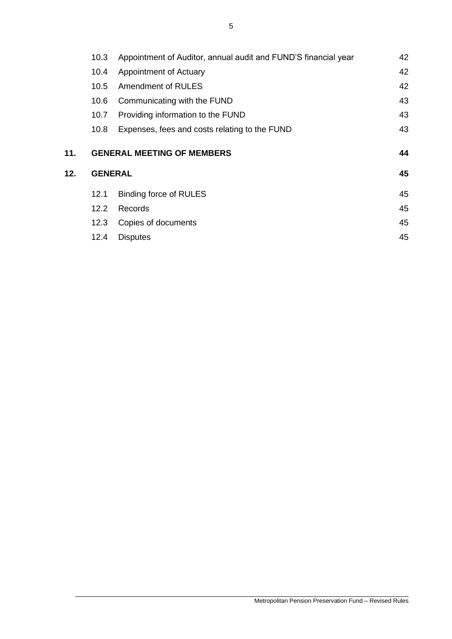|     | 10.3           | Appointment of Auditor, annual audit and FUND'S financial year | 42 |  |
|-----|----------------|----------------------------------------------------------------|----|--|
|     | 10.4           | Appointment of Actuary                                         | 42 |  |
|     | 10.5           | Amendment of RULES                                             | 42 |  |
|     | 10.6           | Communicating with the FUND                                    | 43 |  |
|     | 10.7           | Providing information to the FUND                              | 43 |  |
|     | 10.8           | Expenses, fees and costs relating to the FUND                  | 43 |  |
| 11. |                | <b>GENERAL MEETING OF MEMBERS</b>                              | 44 |  |
| 12. | <b>GENERAL</b> |                                                                |    |  |
|     | 12.1           | <b>Binding force of RULES</b>                                  | 45 |  |
|     | $12.2^{\circ}$ | Records                                                        | 45 |  |
|     | 12.3           | Copies of documents                                            | 45 |  |
|     |                |                                                                |    |  |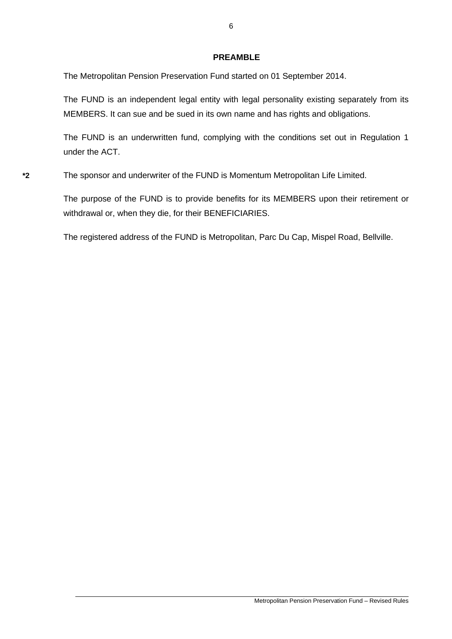## **PREAMBLE**

The Metropolitan Pension Preservation Fund started on 01 September 2014.

The FUND is an independent legal entity with legal personality existing separately from its MEMBERS. It can sue and be sued in its own name and has rights and obligations.

The FUND is an underwritten fund, complying with the conditions set out in Regulation 1 under the ACT.

**\*2** The sponsor and underwriter of the FUND is Momentum Metropolitan Life Limited.

The purpose of the FUND is to provide benefits for its MEMBERS upon their retirement or withdrawal or, when they die, for their BENEFICIARIES.

The registered address of the FUND is Metropolitan, Parc Du Cap, Mispel Road, Bellville.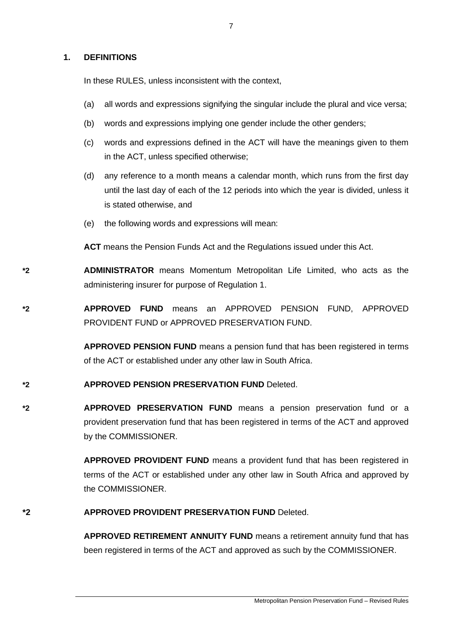### **1. DEFINITIONS**

In these RULES, unless inconsistent with the context,

- (a) all words and expressions signifying the singular include the plural and vice versa;
- (b) words and expressions implying one gender include the other genders;
- (c) words and expressions defined in the ACT will have the meanings given to them in the ACT, unless specified otherwise;
- (d) any reference to a month means a calendar month, which runs from the first day until the last day of each of the 12 periods into which the year is divided, unless it is stated otherwise, and
- (e) the following words and expressions will mean:

**ACT** means the Pension Funds Act and the Regulations issued under this Act.

**\*2 ADMINISTRATOR** means Momentum Metropolitan Life Limited, who acts as the administering insurer for purpose of Regulation 1.

**\*2 APPROVED FUND** means an APPROVED PENSION FUND, APPROVED PROVIDENT FUND or APPROVED PRESERVATION FUND.

> **APPROVED PENSION FUND** means a pension fund that has been registered in terms of the ACT or established under any other law in South Africa.

# **\*2 APPROVED PENSION PRESERVATION FUND** Deleted.

**\*2 APPROVED PRESERVATION FUND** means a pension preservation fund or a provident preservation fund that has been registered in terms of the ACT and approved by the COMMISSIONER.

> **APPROVED PROVIDENT FUND** means a provident fund that has been registered in terms of the ACT or established under any other law in South Africa and approved by the COMMISSIONER.

### **\*2 APPROVED PROVIDENT PRESERVATION FUND** Deleted.

**APPROVED RETIREMENT ANNUITY FUND** means a retirement annuity fund that has been registered in terms of the ACT and approved as such by the COMMISSIONER.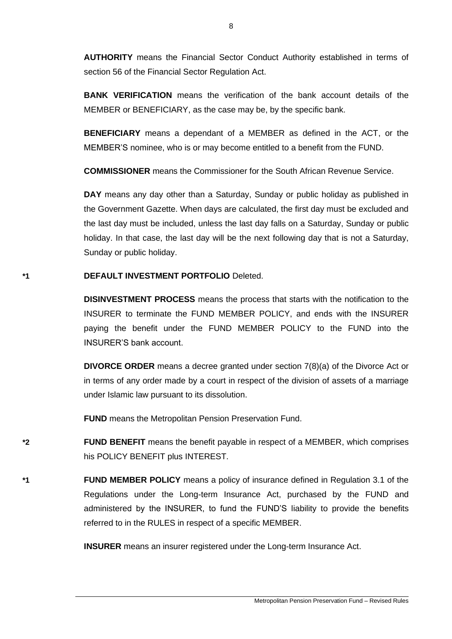**AUTHORITY** means the Financial Sector Conduct Authority established in terms of section 56 of the Financial Sector Regulation Act.

**BANK VERIFICATION** means the verification of the bank account details of the MEMBER or BENEFICIARY, as the case may be, by the specific bank.

**BENEFICIARY** means a dependant of a MEMBER as defined in the ACT, or the MEMBER'S nominee, who is or may become entitled to a benefit from the FUND.

**COMMISSIONER** means the Commissioner for the South African Revenue Service.

**DAY** means any day other than a Saturday, Sunday or public holiday as published in the Government Gazette. When days are calculated, the first day must be excluded and the last day must be included, unless the last day falls on a Saturday, Sunday or public holiday. In that case, the last day will be the next following day that is not a Saturday, Sunday or public holiday.

## **\*1 DEFAULT INVESTMENT PORTFOLIO** Deleted.

**DISINVESTMENT PROCESS** means the process that starts with the notification to the INSURER to terminate the FUND MEMBER POLICY, and ends with the INSURER paying the benefit under the FUND MEMBER POLICY to the FUND into the INSURER'S bank account.

**DIVORCE ORDER** means a decree granted under section 7(8)(a) of the Divorce Act or in terms of any order made by a court in respect of the division of assets of a marriage under Islamic law pursuant to its dissolution.

**FUND** means the Metropolitan Pension Preservation Fund.

**\*2 FUND BENEFIT** means the benefit payable in respect of a MEMBER, which comprises his POLICY BENEFIT plus INTEREST.

**\*1 FUND MEMBER POLICY** means a policy of insurance defined in Regulation 3.1 of the Regulations under the Long-term Insurance Act, purchased by the FUND and administered by the INSURER, to fund the FUND'S liability to provide the benefits referred to in the RULES in respect of a specific MEMBER.

**INSURER** means an insurer registered under the Long-term Insurance Act.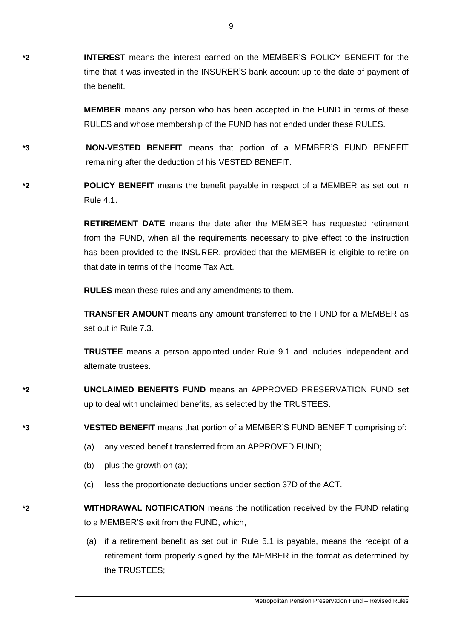**\*2 INTEREST** means the interest earned on the MEMBER'S POLICY BENEFIT for the time that it was invested in the INSURER'S bank account up to the date of payment of the benefit.

> **MEMBER** means any person who has been accepted in the FUND in terms of these RULES and whose membership of the FUND has not ended under these RULES.

- **\*3 NON-VESTED BENEFIT** means that portion of a MEMBER'S FUND BENEFIT remaining after the deduction of his VESTED BENEFIT.
- **\*2 POLICY BENEFIT** means the benefit payable in respect of a MEMBER as set out in Rule 4.1.

**RETIREMENT DATE** means the date after the MEMBER has requested retirement from the FUND, when all the requirements necessary to give effect to the instruction has been provided to the INSURER, provided that the MEMBER is eligible to retire on that date in terms of the Income Tax Act.

**RULES** mean these rules and any amendments to them.

**TRANSFER AMOUNT** means any amount transferred to the FUND for a MEMBER as set out in Rule 7.3.

**TRUSTEE** means a person appointed under Rule 9.1 and includes independent and alternate trustees.

**\*2 UNCLAIMED BENEFITS FUND** means an APPROVED PRESERVATION FUND set up to deal with unclaimed benefits, as selected by the TRUSTEES.

**\*3 VESTED BENEFIT** means that portion of a MEMBER'S FUND BENEFIT comprising of:

- (a) any vested benefit transferred from an APPROVED FUND;
- (b) plus the growth on (a);
- (c) less the proportionate deductions under section 37D of the ACT.
- **\*2 WITHDRAWAL NOTIFICATION** means the notification received by the FUND relating to a MEMBER'S exit from the FUND, which,
	- (a) if a retirement benefit as set out in Rule 5.1 is payable, means the receipt of a retirement form properly signed by the MEMBER in the format as determined by the TRUSTEES;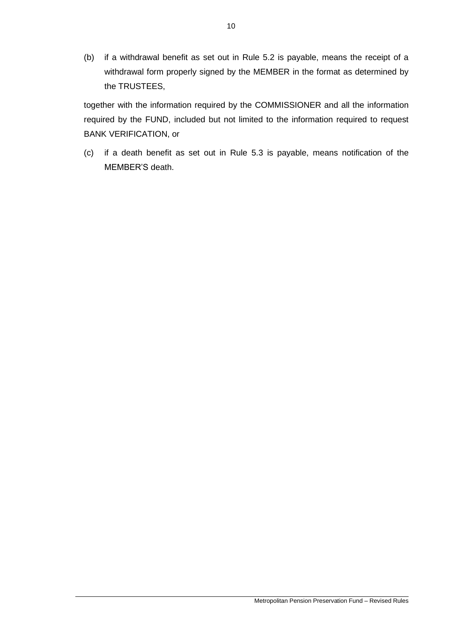(b) if a withdrawal benefit as set out in Rule 5.2 is payable, means the receipt of a withdrawal form properly signed by the MEMBER in the format as determined by the TRUSTEES,

together with the information required by the COMMISSIONER and all the information required by the FUND, included but not limited to the information required to request BANK VERIFICATION, or

(c) if a death benefit as set out in Rule 5.3 is payable, means notification of the MEMBER'S death.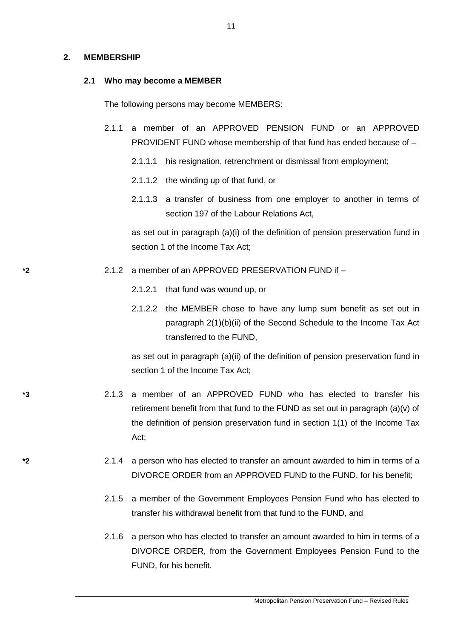#### **2. MEMBERSHIP**

#### **2.1 Who may become a MEMBER**

The following persons may become MEMBERS:

- 2.1.1 a member of an APPROVED PENSION FUND or an APPROVED PROVIDENT FUND whose membership of that fund has ended because of –
	- 2.1.1.1 his resignation, retrenchment or dismissal from employment;
	- 2.1.1.2 the winding up of that fund, or
	- 2.1.1.3 a transfer of business from one employer to another in terms of [section 197](http://olybrius/nxt/gateway.dll/jilc/kilc/turg/zurg/0urg/5n9g#0) of the Labour Relations Act,

as set out in paragraph (a)(i) of the definition of pension preservation fund in section 1 of the Income Tax Act:

### **\*2** 2.1.2 a member of an APPROVED PRESERVATION FUND if –

- 2.1.2.1 that fund was wound up, or
- 2.1.2.2 the MEMBER chose to have any lump sum benefit as set out in [paragraph 2\(1\)\(b\)\(ii\)](http://www.mylexisnexis.co.za/nxt/gateway.dll/jilc/kilc/alrg/ulrg/vlrg/k8k0a#69k) of the Second [Schedule](http://www.mylexisnexis.co.za/nxt/gateway.dll/jilc/kilc/alrg/ulrg/vlrg/k8k0a#673) to the Income Tax Act transferred to the FUND,

as set out in paragraph (a)(ii) of the definition of pension preservation fund in section 1 of the Income Tax Act;

- **\*3** 2.1.3 a member of an APPROVED FUND who has elected to transfer his retirement benefit from that fund to the FUND as set out in paragraph (a)(v) of the definition of pension preservation fund in section 1(1) of the Income Tax Act;
- **\*2** 2.1.4 a person who has elected to transfer an amount awarded to him in terms of a DIVORCE ORDER from an APPROVED FUND to the FUND, for his benefit;
	- 2.1.5 a member of the Government Employees Pension Fund who has elected to transfer his withdrawal benefit from that fund to the FUND, and
	- 2.1.6 a person who has elected to transfer an amount awarded to him in terms of a DIVORCE ORDER, from the Government Employees Pension Fund to the FUND, for his benefit.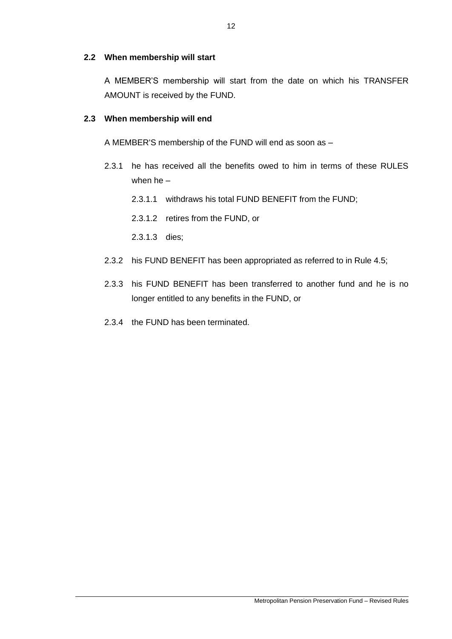# **2.2 When membership will start**

A MEMBER'S membership will start from the date on which his TRANSFER AMOUNT is received by the FUND.

# **2.3 When membership will end**

A MEMBER'S membership of the FUND will end as soon as –

- 2.3.1 he has received all the benefits owed to him in terms of these RULES when he –
	- 2.3.1.1 withdraws his total FUND BENEFIT from the FUND;
	- 2.3.1.2 retires from the FUND, or
	- 2.3.1.3 dies;
- 2.3.2 his FUND BENEFIT has been appropriated as referred to in Rule 4.5;
- 2.3.3 his FUND BENEFIT has been transferred to another fund and he is no longer entitled to any benefits in the FUND, or
- 2.3.4 the FUND has been terminated.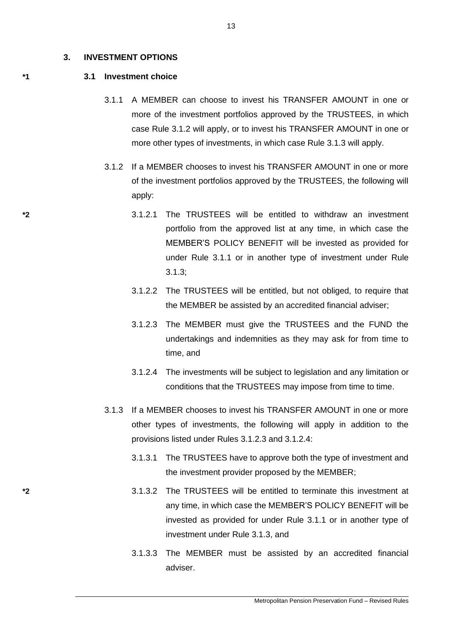#### **3. INVESTMENT OPTIONS**

#### **\*1 3.1 Investment choice**

- 3.1.1 A MEMBER can choose to invest his TRANSFER AMOUNT in one or more of the investment portfolios approved by the TRUSTEES, in which case Rule 3.1.2 will apply, or to invest his TRANSFER AMOUNT in one or more other types of investments, in which case Rule 3.1.3 will apply.
- 3.1.2 If a MEMBER chooses to invest his TRANSFER AMOUNT in one or more of the investment portfolios approved by the TRUSTEES, the following will apply:
- **\*2** 3.1.2.1 The TRUSTEES will be entitled to withdraw an investment portfolio from the approved list at any time, in which case the MEMBER'S POLICY BENEFIT will be invested as provided for under Rule 3.1.1 or in another type of investment under Rule 3.1.3;
	- 3.1.2.2 The TRUSTEES will be entitled, but not obliged, to require that the MEMBER be assisted by an accredited financial adviser;
	- 3.1.2.3 The MEMBER must give the TRUSTEES and the FUND the undertakings and indemnities as they may ask for from time to time, and
	- 3.1.2.4 The investments will be subject to legislation and any limitation or conditions that the TRUSTEES may impose from time to time.
	- 3.1.3 If a MEMBER chooses to invest his TRANSFER AMOUNT in one or more other types of investments, the following will apply in addition to the provisions listed under Rules 3.1.2.3 and 3.1.2.4:
		- 3.1.3.1 The TRUSTEES have to approve both the type of investment and the investment provider proposed by the MEMBER;
- **\*2** 3.1.3.2 The TRUSTEES will be entitled to terminate this investment at any time, in which case the MEMBER'S POLICY BENEFIT will be invested as provided for under Rule 3.1.1 or in another type of investment under Rule 3.1.3, and
	- 3.1.3.3 The MEMBER must be assisted by an accredited financial adviser.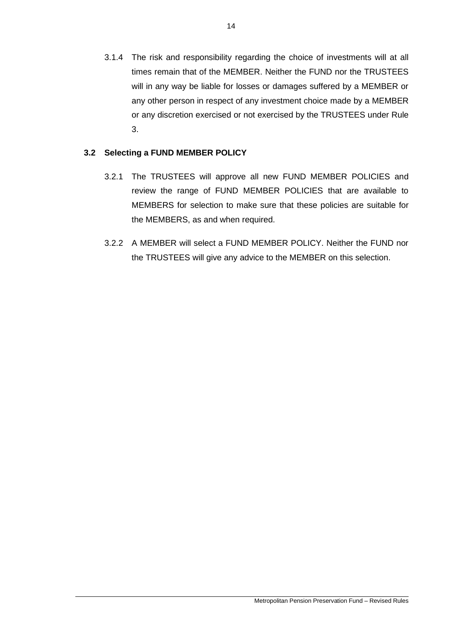3.1.4 The risk and responsibility regarding the choice of investments will at all times remain that of the MEMBER. Neither the FUND nor the TRUSTEES will in any way be liable for losses or damages suffered by a MEMBER or any other person in respect of any investment choice made by a MEMBER or any discretion exercised or not exercised by the TRUSTEES under Rule 3.

# **3.2 Selecting a FUND MEMBER POLICY**

- 3.2.1 The TRUSTEES will approve all new FUND MEMBER POLICIES and review the range of FUND MEMBER POLICIES that are available to MEMBERS for selection to make sure that these policies are suitable for the MEMBERS, as and when required.
- 3.2.2 A MEMBER will select a FUND MEMBER POLICY. Neither the FUND nor the TRUSTEES will give any advice to the MEMBER on this selection.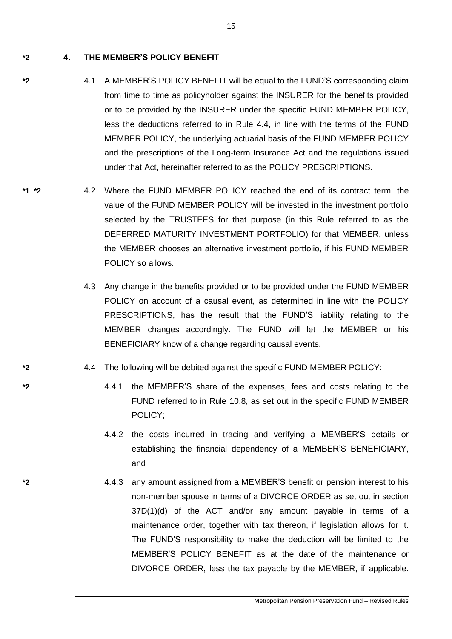**\*2 4. THE MEMBER'S POLICY BENEFIT**

- **\*2** 4.1 A MEMBER'S POLICY BENEFIT will be equal to the FUND'S corresponding claim from time to time as policyholder against the INSURER for the benefits provided or to be provided by the INSURER under the specific FUND MEMBER POLICY, less the deductions referred to in Rule 4.4, in line with the terms of the FUND MEMBER POLICY, the underlying actuarial basis of the FUND MEMBER POLICY and the prescriptions of the Long-term Insurance Act and the regulations issued under that Act, hereinafter referred to as the POLICY PRESCRIPTIONS.
- **\*1 \*2** 4.2 Where the FUND MEMBER POLICY reached the end of its contract term, the value of the FUND MEMBER POLICY will be invested in the investment portfolio selected by the TRUSTEES for that purpose (in this Rule referred to as the DEFERRED MATURITY INVESTMENT PORTFOLIO) for that MEMBER, unless the MEMBER chooses an alternative investment portfolio, if his FUND MEMBER POLICY so allows.
	- 4.3 Any change in the benefits provided or to be provided under the FUND MEMBER POLICY on account of a causal event, as determined in line with the POLICY PRESCRIPTIONS, has the result that the FUND'S liability relating to the MEMBER changes accordingly. The FUND will let the MEMBER or his BENEFICIARY know of a change regarding causal events.
- **\*2** 4.4 The following will be debited against the specific FUND MEMBER POLICY:
- **\*2** 4.4.1 the MEMBER'S share of the expenses, fees and costs relating to the FUND referred to in Rule 10.8, as set out in the specific FUND MEMBER POLICY;
	- 4.4.2 the costs incurred in tracing and verifying a MEMBER'S details or establishing the financial dependency of a MEMBER'S BENEFICIARY, and
- **\*2** 4.4.3 any amount assigned from a MEMBER'S benefit or pension interest to his non-member spouse in terms of a DIVORCE ORDER as set out in section 37D(1)(d) of the ACT and/or any amount payable in terms of a maintenance order, together with tax thereon, if legislation allows for it. The FUND'S responsibility to make the deduction will be limited to the MEMBER'S POLICY BENEFIT as at the date of the maintenance or DIVORCE ORDER, less the tax payable by the MEMBER, if applicable.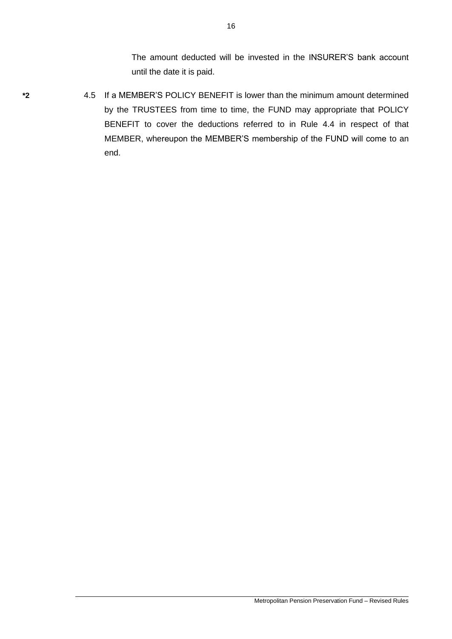The amount deducted will be invested in the INSURER'S bank account until the date it is paid.

- 
- **\*2** 4.5 If a MEMBER'S POLICY BENEFIT is lower than the minimum amount determined by the TRUSTEES from time to time, the FUND may appropriate that POLICY BENEFIT to cover the deductions referred to in Rule 4.4 in respect of that MEMBER, whereupon the MEMBER'S membership of the FUND will come to an end.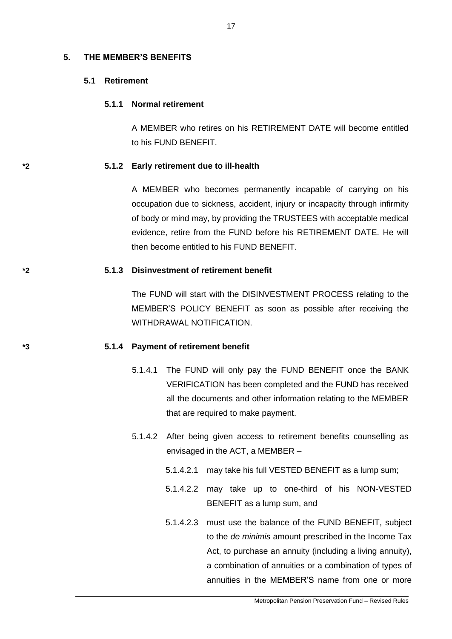#### **5. THE MEMBER'S BENEFITS**

### **5.1 Retirement**

### **5.1.1 Normal retirement**

A MEMBER who retires on his RETIREMENT DATE will become entitled to his FUND BENEFIT.

#### **\*2 5.1.2 Early retirement due to ill-health**

A MEMBER who becomes permanently incapable of carrying on his occupation due to sickness, accident, injury or incapacity through infirmity of body or mind may, by providing the TRUSTEES with acceptable medical evidence, retire from the FUND before his RETIREMENT DATE. He will then become entitled to his FUND BENEFIT.

#### **\*2 5.1.3 Disinvestment of retirement benefit**

The FUND will start with the DISINVESTMENT PROCESS relating to the MEMBER'S POLICY BENEFIT as soon as possible after receiving the WITHDRAWAL NOTIFICATION.

#### **\*3 5.1.4 Payment of retirement benefit**

- 5.1.4.1 The FUND will only pay the FUND BENEFIT once the BANK VERIFICATION has been completed and the FUND has received all the documents and other information relating to the MEMBER that are required to make payment.
- 5.1.4.2 After being given access to retirement benefits counselling as envisaged in the ACT, a MEMBER –
	- 5.1.4.2.1 may take his full VESTED BENEFIT as a lump sum;
	- 5.1.4.2.2 may take up to one-third of his NON-VESTED BENEFIT as a lump sum, and
	- 5.1.4.2.3 must use the balance of the FUND BENEFIT, subject to the *de minimis* amount prescribed in the Income Tax Act, to purchase an annuity (including a living annuity), a combination of annuities or a combination of types of annuities in the MEMBER'S name from one or more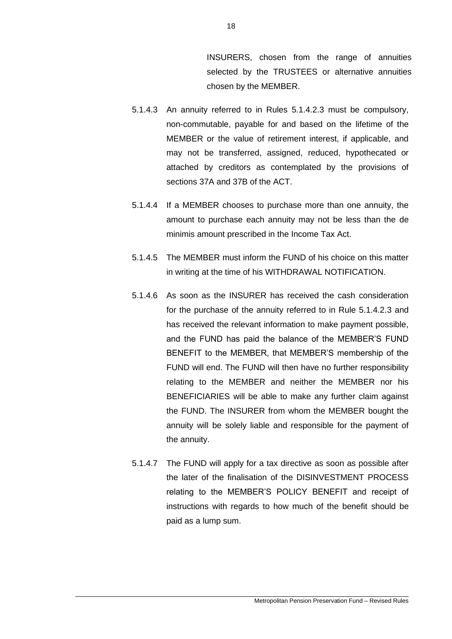INSURERS, chosen from the range of annuities selected by the TRUSTEES or alternative annuities chosen by the MEMBER.

- 5.1.4.3 An annuity referred to in Rules 5.1.4.2.3 must be compulsory, non-commutable, payable for and based on the lifetime of the MEMBER or the value of retirement interest, if applicable, and may not be transferred, assigned, reduced, hypothecated or attached by creditors as contemplated by the provisions of sections 37A and 37B of the ACT.
- 5.1.4.4 If a MEMBER chooses to purchase more than one annuity, the amount to purchase each annuity may not be less than the de minimis amount prescribed in the Income Tax Act.
- 5.1.4.5 The MEMBER must inform the FUND of his choice on this matter in writing at the time of his WITHDRAWAL NOTIFICATION.
- 5.1.4.6 As soon as the INSURER has received the cash consideration for the purchase of the annuity referred to in Rule 5.1.4.2.3 and has received the relevant information to make payment possible, and the FUND has paid the balance of the MEMBER'S FUND BENEFIT to the MEMBER, that MEMBER'S membership of the FUND will end. The FUND will then have no further responsibility relating to the MEMBER and neither the MEMBER nor his BENEFICIARIES will be able to make any further claim against the FUND. The INSURER from whom the MEMBER bought the annuity will be solely liable and responsible for the payment of the annuity.
- 5.1.4.7 The FUND will apply for a tax directive as soon as possible after the later of the finalisation of the DISINVESTMENT PROCESS relating to the MEMBER'S POLICY BENEFIT and receipt of instructions with regards to how much of the benefit should be paid as a lump sum.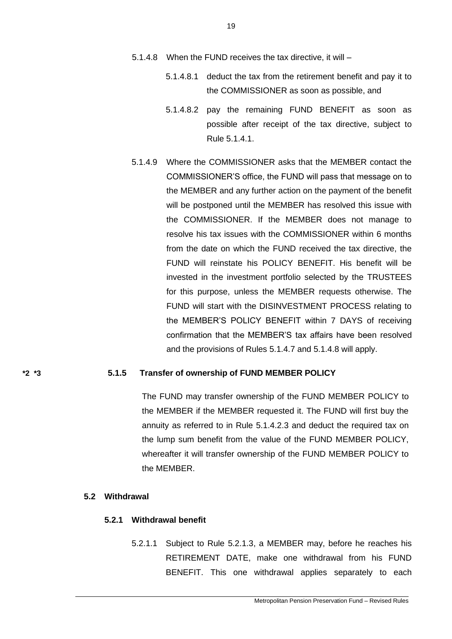- 5.1.4.8 When the FUND receives the tax directive, it will
	- 5.1.4.8.1 deduct the tax from the retirement benefit and pay it to the COMMISSIONER as soon as possible, and
	- 5.1.4.8.2 pay the remaining FUND BENEFIT as soon as possible after receipt of the tax directive, subject to Rule 5.1.4.1.
- 5.1.4.9 Where the COMMISSIONER asks that the MEMBER contact the COMMISSIONER'S office, the FUND will pass that message on to the MEMBER and any further action on the payment of the benefit will be postponed until the MEMBER has resolved this issue with the COMMISSIONER. If the MEMBER does not manage to resolve his tax issues with the COMMISSIONER within 6 months from the date on which the FUND received the tax directive, the FUND will reinstate his POLICY BENEFIT. His benefit will be invested in the investment portfolio selected by the TRUSTEES for this purpose, unless the MEMBER requests otherwise. The FUND will start with the DISINVESTMENT PROCESS relating to the MEMBER'S POLICY BENEFIT within 7 DAYS of receiving confirmation that the MEMBER'S tax affairs have been resolved and the provisions of Rules 5.1.4.7 and 5.1.4.8 will apply.

#### **\*2 \*3 5.1.5 Transfer of ownership of FUND MEMBER POLICY**

The FUND may transfer ownership of the FUND MEMBER POLICY to the MEMBER if the MEMBER requested it. The FUND will first buy the annuity as referred to in Rule 5.1.4.2.3 and deduct the required tax on the lump sum benefit from the value of the FUND MEMBER POLICY, whereafter it will transfer ownership of the FUND MEMBER POLICY to the MEMBER.

### **5.2 Withdrawal**

### **5.2.1 Withdrawal benefit**

5.2.1.1 Subject to Rule 5.2.1.3, a MEMBER may, before he reaches his RETIREMENT DATE, make one withdrawal from his FUND BENEFIT. This one withdrawal applies separately to each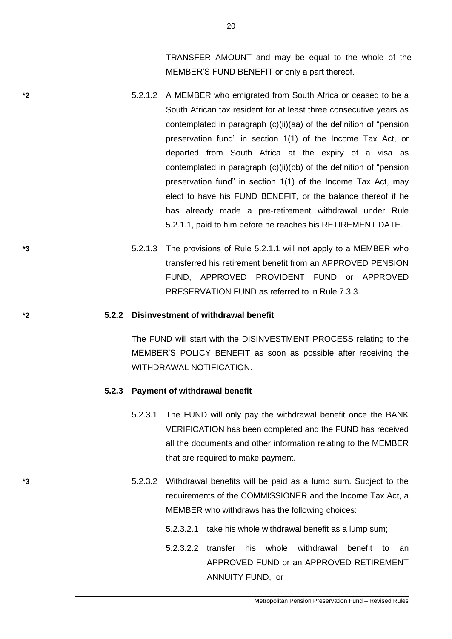TRANSFER AMOUNT and may be equal to the whole of the MEMBER'S FUND BENEFIT or only a part thereof.

- **\*2** 5.2.1.2 A MEMBER who emigrated from South Africa or ceased to be a South African tax resident for at least three consecutive years as contemplated in paragraph (c)(ii)(aa) of the definition of "pension preservation fund" in section 1(1) of the Income Tax Act, or departed from South Africa at the expiry of a visa as contemplated in paragraph (c)(ii)(bb) of the definition of "pension preservation fund" in section 1(1) of the Income Tax Act, may elect to have his FUND BENEFIT, or the balance thereof if he has already made a pre-retirement withdrawal under Rule 5.2.1.1, paid to him before he reaches his RETIREMENT DATE.
- **\*3** 5.2.1.3 The provisions of Rule 5.2.1.1 will not apply to a MEMBER who transferred his retirement benefit from an APPROVED PENSION FUND, APPROVED PROVIDENT FUND or APPROVED PRESERVATION FUND as referred to in Rule 7.3.3.

#### **\*2 5.2.2 Disinvestment of withdrawal benefit**

The FUND will start with the DISINVESTMENT PROCESS relating to the MEMBER'S POLICY BENEFIT as soon as possible after receiving the WITHDRAWAL NOTIFICATION.

#### **5.2.3 Payment of withdrawal benefit**

- 5.2.3.1 The FUND will only pay the withdrawal benefit once the BANK VERIFICATION has been completed and the FUND has received all the documents and other information relating to the MEMBER that are required to make payment.
- **\*3** 5.2.3.2 Withdrawal benefits will be paid as a lump sum. Subject to the requirements of the COMMISSIONER and the Income Tax Act, a MEMBER who withdraws has the following choices:
	- 5.2.3.2.1 take his whole withdrawal benefit as a lump sum;
	- 5.2.3.2.2 transfer his whole withdrawal benefit to an APPROVED FUND or an APPROVED RETIREMENT ANNUITY FUND, or

20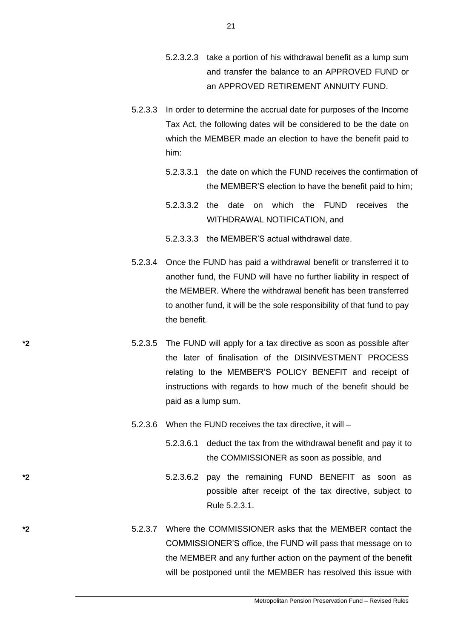- 5.2.3.2.3 take a portion of his withdrawal benefit as a lump sum and transfer the balance to an APPROVED FUND or an APPROVED RETIREMENT ANNUITY FUND.
- 5.2.3.3 In order to determine the accrual date for purposes of the Income Tax Act, the following dates will be considered to be the date on which the MEMBER made an election to have the benefit paid to him:
	- 5.2.3.3.1 the date on which the FUND receives the confirmation of the MEMBER'S election to have the benefit paid to him;
	- 5.2.3.3.2 the date on which the FUND receives the WITHDRAWAL NOTIFICATION, and
	- 5.2.3.3.3 the MEMBER'S actual withdrawal date.
- 5.2.3.4 Once the FUND has paid a withdrawal benefit or transferred it to another fund, the FUND will have no further liability in respect of the MEMBER. Where the withdrawal benefit has been transferred to another fund, it will be the sole responsibility of that fund to pay the benefit.
- **\*2** 5.2.3.5 The FUND will apply for a tax directive as soon as possible after the later of finalisation of the DISINVESTMENT PROCESS relating to the MEMBER'S POLICY BENEFIT and receipt of instructions with regards to how much of the benefit should be paid as a lump sum.
	- 5.2.3.6 When the FUND receives the tax directive, it will
		- 5.2.3.6.1 deduct the tax from the withdrawal benefit and pay it to the COMMISSIONER as soon as possible, and
- **\*2** 5.2.3.6.2 pay the remaining FUND BENEFIT as soon as possible after receipt of the tax directive, subject to Rule 5.2.3.1.
- **\*2** 5.2.3.7 Where the COMMISSIONER asks that the MEMBER contact the COMMISSIONER'S office, the FUND will pass that message on to the MEMBER and any further action on the payment of the benefit will be postponed until the MEMBER has resolved this issue with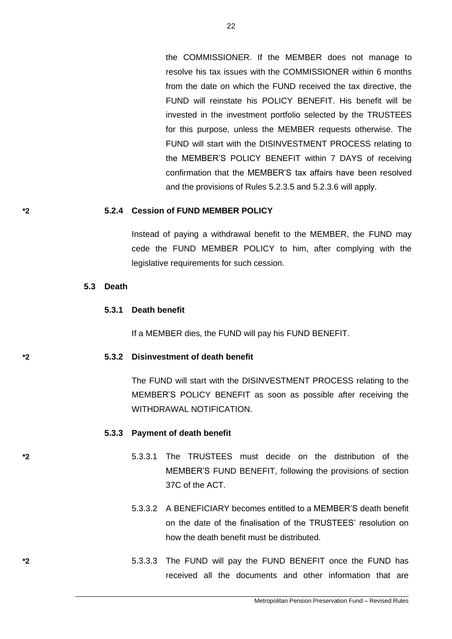the COMMISSIONER. If the MEMBER does not manage to resolve his tax issues with the COMMISSIONER within 6 months from the date on which the FUND received the tax directive, the FUND will reinstate his POLICY BENEFIT. His benefit will be invested in the investment portfolio selected by the TRUSTEES for this purpose, unless the MEMBER requests otherwise. The FUND will start with the DISINVESTMENT PROCESS relating to the MEMBER'S POLICY BENEFIT within 7 DAYS of receiving confirmation that the MEMBER'S tax affairs have been resolved and the provisions of Rules 5.2.3.5 and 5.2.3.6 will apply.

#### **\*2 5.2.4 Cession of FUND MEMBER POLICY**

Instead of paying a withdrawal benefit to the MEMBER, the FUND may cede the FUND MEMBER POLICY to him, after complying with the legislative requirements for such cession.

#### **5.3 Death**

#### **5.3.1 Death benefit**

If a MEMBER dies, the FUND will pay his FUND BENEFIT.

### **\*2 5.3.2 Disinvestment of death benefit**

The FUND will start with the DISINVESTMENT PROCESS relating to the MEMBER'S POLICY BENEFIT as soon as possible after receiving the WITHDRAWAL NOTIFICATION.

#### **5.3.3 Payment of death benefit**

- **\*2** 5.3.3.1 The TRUSTEES must decide on the distribution of the MEMBER'S FUND BENEFIT, following the provisions of section 37C of the ACT.
	- 5.3.3.2 A BENEFICIARY becomes entitled to a MEMBER'S death benefit on the date of the finalisation of the TRUSTEES' resolution on how the death benefit must be distributed.
- **\*2** 5.3.3.3 The FUND will pay the FUND BENEFIT once the FUND has received all the documents and other information that are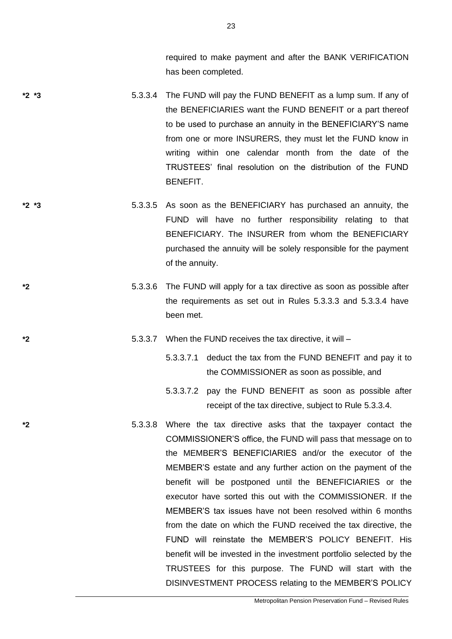required to make payment and after the BANK VERIFICATION has been completed.

- **\*2 \*3** 5.3.3.4 The FUND will pay the FUND BENEFIT as a lump sum. If any of the BENEFICIARIES want the FUND BENEFIT or a part thereof to be used to purchase an annuity in the BENEFICIARY'S name from one or more INSURERS, they must let the FUND know in writing within one calendar month from the date of the TRUSTEES' final resolution on the distribution of the FUND BENEFIT.
- **\*2 \*3** 5.3.3.5 As soon as the BENEFICIARY has purchased an annuity, the FUND will have no further responsibility relating to that BENEFICIARY. The INSURER from whom the BENEFICIARY purchased the annuity will be solely responsible for the payment of the annuity.
- **\*2** 5.3.3.6 The FUND will apply for a tax directive as soon as possible after the requirements as set out in Rules 5.3.3.3 and 5.3.3.4 have been met.
- **\*2** 5.3.3.7 When the FUND receives the tax directive, it will
	- 5.3.3.7.1 deduct the tax from the FUND BENEFIT and pay it to the COMMISSIONER as soon as possible, and
	- 5.3.3.7.2 pay the FUND BENEFIT as soon as possible after receipt of the tax directive, subject to Rule 5.3.3.4.
- **\*2** 5.3.3.8 Where the tax directive asks that the taxpayer contact the COMMISSIONER'S office, the FUND will pass that message on to the MEMBER'S BENEFICIARIES and/or the executor of the MEMBER'S estate and any further action on the payment of the benefit will be postponed until the BENEFICIARIES or the executor have sorted this out with the COMMISSIONER. If the MEMBER'S tax issues have not been resolved within 6 months from the date on which the FUND received the tax directive, the FUND will reinstate the MEMBER'S POLICY BENEFIT. His benefit will be invested in the investment portfolio selected by the TRUSTEES for this purpose. The FUND will start with the DISINVESTMENT PROCESS relating to the MEMBER'S POLICY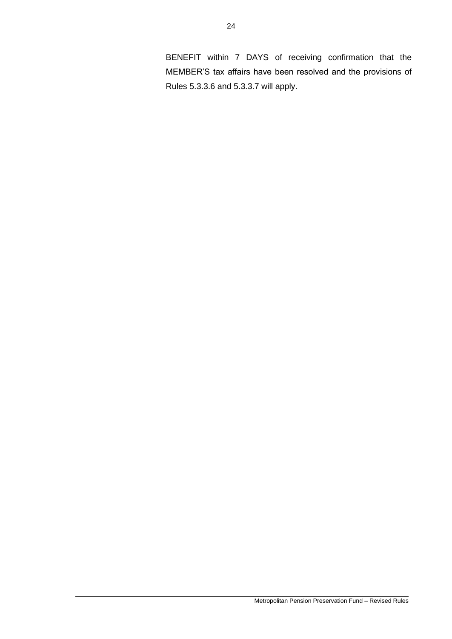BENEFIT within 7 DAYS of receiving confirmation that the MEMBER'S tax affairs have been resolved and the provisions of Rules 5.3.3.6 and 5.3.3.7 will apply.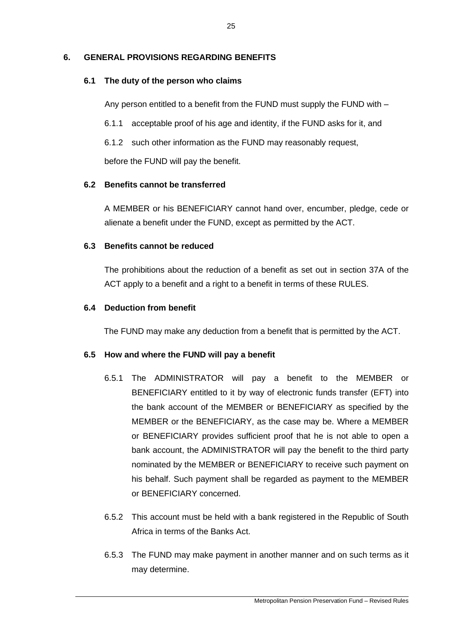# **6. GENERAL PROVISIONS REGARDING BENEFITS**

## **6.1 The duty of the person who claims**

Any person entitled to a benefit from the FUND must supply the FUND with –

6.1.1 acceptable proof of his age and identity, if the FUND asks for it, and

6.1.2 such other information as the FUND may reasonably request,

before the FUND will pay the benefit.

## **6.2 Benefits cannot be transferred**

A MEMBER or his BENEFICIARY cannot hand over, encumber, pledge, cede or alienate a benefit under the FUND, except as permitted by the ACT.

## **6.3 Benefits cannot be reduced**

The prohibitions about the reduction of a benefit as set out in section 37A of the ACT apply to a benefit and a right to a benefit in terms of these RULES.

## **6.4 Deduction from benefit**

The FUND may make any deduction from a benefit that is permitted by the ACT.

# **6.5 How and where the FUND will pay a benefit**

- 6.5.1 The ADMINISTRATOR will pay a benefit to the MEMBER or BENEFICIARY entitled to it by way of electronic funds transfer (EFT) into the bank account of the MEMBER or BENEFICIARY as specified by the MEMBER or the BENEFICIARY, as the case may be. Where a MEMBER or BENEFICIARY provides sufficient proof that he is not able to open a bank account, the ADMINISTRATOR will pay the benefit to the third party nominated by the MEMBER or BENEFICIARY to receive such payment on his behalf. Such payment shall be regarded as payment to the MEMBER or BENEFICIARY concerned.
- 6.5.2 This account must be held with a bank registered in the Republic of South Africa in terms of the Banks Act.
- 6.5.3 The FUND may make payment in another manner and on such terms as it may determine.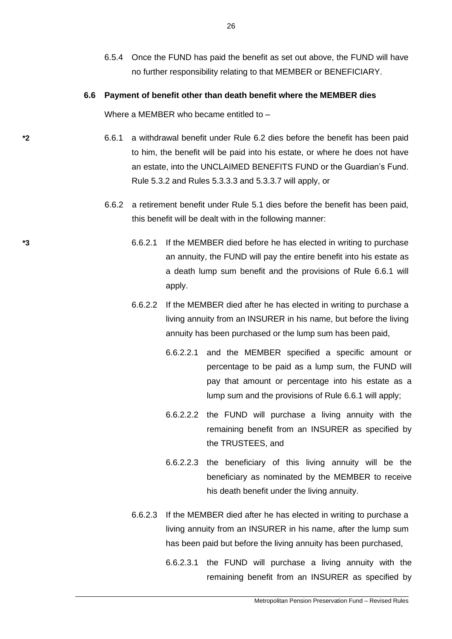6.5.4 Once the FUND has paid the benefit as set out above, the FUND will have no further responsibility relating to that MEMBER or BENEFICIARY.

#### **6.6 Payment of benefit other than death benefit where the MEMBER dies**

Where a MEMBER who became entitled to -

- **\*2** 6.6.1 a withdrawal benefit under Rule 6.2 dies before the benefit has been paid to him, the benefit will be paid into his estate, or where he does not have an estate, into the UNCLAIMED BENEFITS FUND or the Guardian's Fund. Rule 5.3.2 and Rules 5.3.3.3 and 5.3.3.7 will apply, or
	- 6.6.2 a retirement benefit under Rule 5.1 dies before the benefit has been paid, this benefit will be dealt with in the following manner:
- **\*3** 6.6.2.1 If the MEMBER died before he has elected in writing to purchase an annuity, the FUND will pay the entire benefit into his estate as a death lump sum benefit and the provisions of Rule 6.6.1 will apply.
	- 6.6.2.2 If the MEMBER died after he has elected in writing to purchase a living annuity from an INSURER in his name, but before the living annuity has been purchased or the lump sum has been paid,
		- 6.6.2.2.1 and the MEMBER specified a specific amount or percentage to be paid as a lump sum, the FUND will pay that amount or percentage into his estate as a lump sum and the provisions of Rule 6.6.1 will apply;
		- 6.6.2.2.2 the FUND will purchase a living annuity with the remaining benefit from an INSURER as specified by the TRUSTEES, and
		- 6.6.2.2.3 the beneficiary of this living annuity will be the beneficiary as nominated by the MEMBER to receive his death benefit under the living annuity.
	- 6.6.2.3 If the MEMBER died after he has elected in writing to purchase a living annuity from an INSURER in his name, after the lump sum has been paid but before the living annuity has been purchased,
		- 6.6.2.3.1 the FUND will purchase a living annuity with the remaining benefit from an INSURER as specified by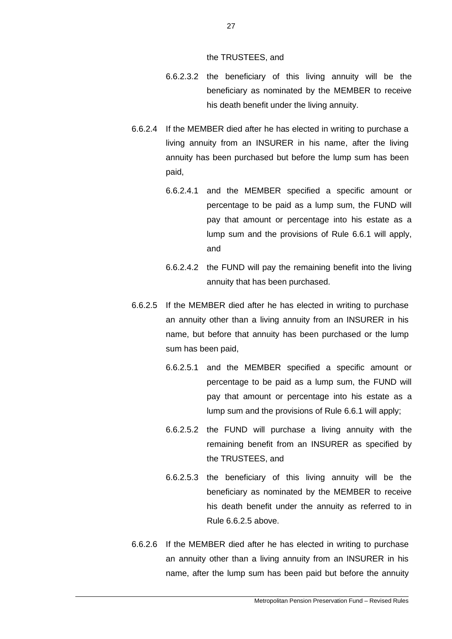the TRUSTEES, and

- 6.6.2.3.2 the beneficiary of this living annuity will be the beneficiary as nominated by the MEMBER to receive his death benefit under the living annuity.
- 6.6.2.4 If the MEMBER died after he has elected in writing to purchase a living annuity from an INSURER in his name, after the living annuity has been purchased but before the lump sum has been paid,
	- 6.6.2.4.1 and the MEMBER specified a specific amount or percentage to be paid as a lump sum, the FUND will pay that amount or percentage into his estate as a lump sum and the provisions of Rule 6.6.1 will apply, and
	- 6.6.2.4.2 the FUND will pay the remaining benefit into the living annuity that has been purchased.
- 6.6.2.5 If the MEMBER died after he has elected in writing to purchase an annuity other than a living annuity from an INSURER in his name, but before that annuity has been purchased or the lump sum has been paid,
	- 6.6.2.5.1 and the MEMBER specified a specific amount or percentage to be paid as a lump sum, the FUND will pay that amount or percentage into his estate as a lump sum and the provisions of Rule 6.6.1 will apply;
	- 6.6.2.5.2 the FUND will purchase a living annuity with the remaining benefit from an INSURER as specified by the TRUSTEES, and
	- 6.6.2.5.3 the beneficiary of this living annuity will be the beneficiary as nominated by the MEMBER to receive his death benefit under the annuity as referred to in Rule 6.6.2.5 above.
- 6.6.2.6 If the MEMBER died after he has elected in writing to purchase an annuity other than a living annuity from an INSURER in his name, after the lump sum has been paid but before the annuity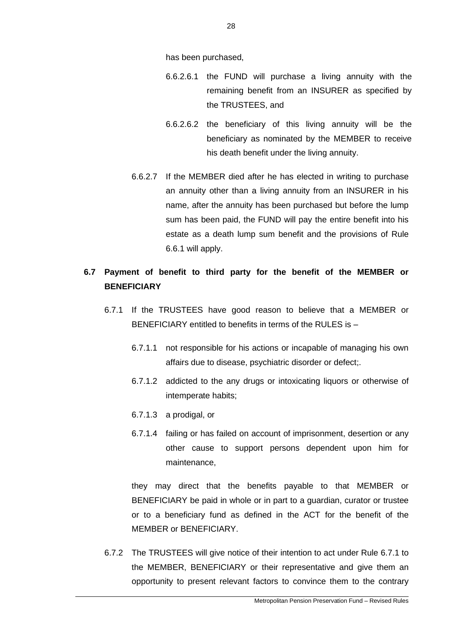has been purchased,

- 6.6.2.6.1 the FUND will purchase a living annuity with the remaining benefit from an INSURER as specified by the TRUSTEES, and
- 6.6.2.6.2 the beneficiary of this living annuity will be the beneficiary as nominated by the MEMBER to receive his death benefit under the living annuity.
- 6.6.2.7 If the MEMBER died after he has elected in writing to purchase an annuity other than a living annuity from an INSURER in his name, after the annuity has been purchased but before the lump sum has been paid, the FUND will pay the entire benefit into his estate as a death lump sum benefit and the provisions of Rule 6.6.1 will apply.

# **6.7 Payment of benefit to third party for the benefit of the MEMBER or BENEFICIARY**

- 6.7.1 If the TRUSTEES have good reason to believe that a MEMBER or BENEFICIARY entitled to benefits in terms of the RULES is –
	- 6.7.1.1 not responsible for his actions or incapable of managing his own affairs due to disease, psychiatric disorder or defect;.
	- 6.7.1.2 addicted to the any drugs or intoxicating liquors or otherwise of intemperate habits;
	- 6.7.1.3 a prodigal, or
	- 6.7.1.4 failing or has failed on account of imprisonment, desertion or any other cause to support persons dependent upon him for maintenance,

they may direct that the benefits payable to that MEMBER or BENEFICIARY be paid in whole or in part to a guardian, curator or trustee or to a beneficiary fund as defined in the ACT for the benefit of the MEMBER or BENEFICIARY.

6.7.2 The TRUSTEES will give notice of their intention to act under Rule 6.7.1 to the MEMBER, BENEFICIARY or their representative and give them an opportunity to present relevant factors to convince them to the contrary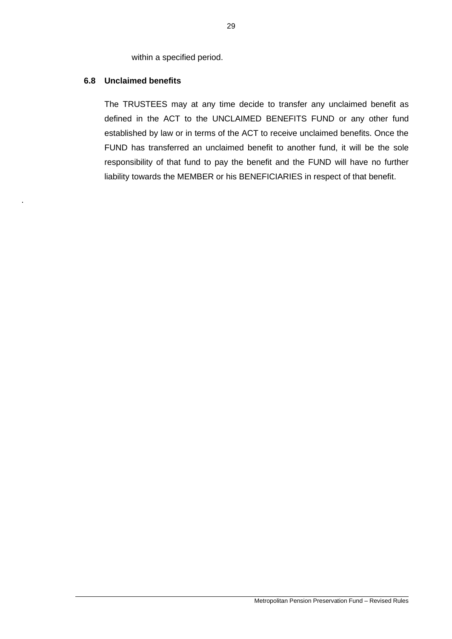within a specified period.

## **6.8 Unclaimed benefits**

.

The TRUSTEES may at any time decide to transfer any unclaimed benefit as defined in the ACT to the UNCLAIMED BENEFITS FUND or any other fund established by law or in terms of the ACT to receive unclaimed benefits. Once the FUND has transferred an unclaimed benefit to another fund, it will be the sole responsibility of that fund to pay the benefit and the FUND will have no further liability towards the MEMBER or his BENEFICIARIES in respect of that benefit.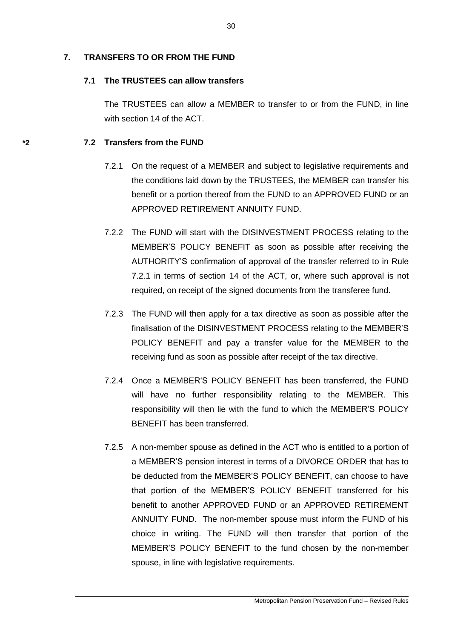# **7. TRANSFERS TO OR FROM THE FUND**

## **7.1 The TRUSTEES can allow transfers**

The TRUSTEES can allow a MEMBER to transfer to or from the FUND, in line with section 14 of the ACT.

# **\*2 7.2 Transfers from the FUND**

- 7.2.1 On the request of a MEMBER and subject to legislative requirements and the conditions laid down by the TRUSTEES, the MEMBER can transfer his benefit or a portion thereof from the FUND to an APPROVED FUND or an APPROVED RETIREMENT ANNUITY FUND.
- 7.2.2 The FUND will start with the DISINVESTMENT PROCESS relating to the MEMBER'S POLICY BENEFIT as soon as possible after receiving the AUTHORITY'S confirmation of approval of the transfer referred to in Rule 7.2.1 in terms of section 14 of the ACT, or, where such approval is not required, on receipt of the signed documents from the transferee fund.
- 7.2.3 The FUND will then apply for a tax directive as soon as possible after the finalisation of the DISINVESTMENT PROCESS relating to the MEMBER'S POLICY BENEFIT and pay a transfer value for the MEMBER to the receiving fund as soon as possible after receipt of the tax directive.
- 7.2.4 Once a MEMBER'S POLICY BENEFIT has been transferred, the FUND will have no further responsibility relating to the MEMBER. This responsibility will then lie with the fund to which the MEMBER'S POLICY BENEFIT has been transferred.
- 7.2.5 A non-member spouse as defined in the ACT who is entitled to a portion of a MEMBER'S pension interest in terms of a DIVORCE ORDER that has to be deducted from the MEMBER'S POLICY BENEFIT, can choose to have that portion of the MEMBER'S POLICY BENEFIT transferred for his benefit to another APPROVED FUND or an APPROVED RETIREMENT ANNUITY FUND. The non-member spouse must inform the FUND of his choice in writing. The FUND will then transfer that portion of the MEMBER'S POLICY BENEFIT to the fund chosen by the non-member spouse, in line with legislative requirements.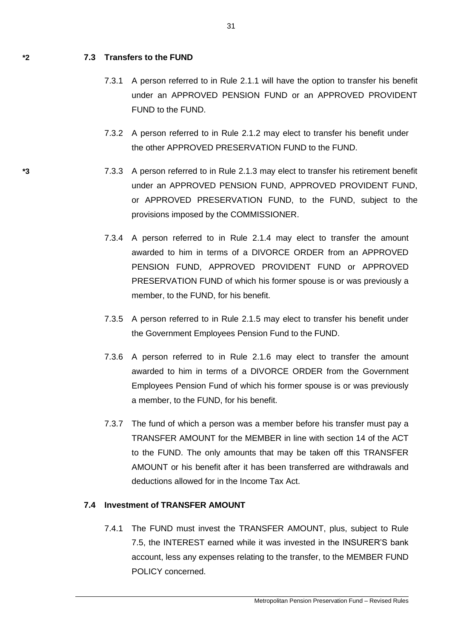### **\*2 7.3 Transfers to the FUND**

- 7.3.1 A person referred to in Rule 2.1.1 will have the option to transfer his benefit under an APPROVED PENSION FUND or an APPROVED PROVIDENT FUND to the FUND.
- 7.3.2 A person referred to in Rule 2.1.2 may elect to transfer his benefit under the other APPROVED PRESERVATION FUND to the FUND.
- **\*3** 7.3.3 A person referred to in Rule 2.1.3 may elect to transfer his retirement benefit under an APPROVED PENSION FUND, APPROVED PROVIDENT FUND, or APPROVED PRESERVATION FUND, to the FUND, subject to the provisions imposed by the COMMISSIONER.
	- 7.3.4 A person referred to in Rule 2.1.4 may elect to transfer the amount awarded to him in terms of a DIVORCE ORDER from an APPROVED PENSION FUND, APPROVED PROVIDENT FUND or APPROVED PRESERVATION FUND of which his former spouse is or was previously a member, to the FUND, for his benefit.
	- 7.3.5 A person referred to in Rule 2.1.5 may elect to transfer his benefit under the Government Employees Pension Fund to the FUND.
	- 7.3.6 A person referred to in Rule 2.1.6 may elect to transfer the amount awarded to him in terms of a DIVORCE ORDER from the Government Employees Pension Fund of which his former spouse is or was previously a member, to the FUND, for his benefit.
	- 7.3.7 The fund of which a person was a member before his transfer must pay a TRANSFER AMOUNT for the MEMBER in line with section 14 of the ACT to the FUND. The only amounts that may be taken off this TRANSFER AMOUNT or his benefit after it has been transferred are withdrawals and deductions allowed for in the Income Tax Act.

### **7.4 Investment of TRANSFER AMOUNT**

7.4.1 The FUND must invest the TRANSFER AMOUNT, plus, subject to Rule 7.5, the INTEREST earned while it was invested in the INSURER'S bank account, less any expenses relating to the transfer, to the MEMBER FUND POLICY concerned.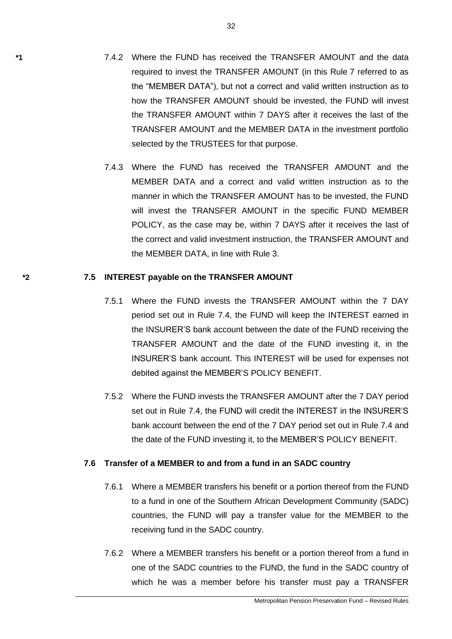- **\*1** 7.4.2 Where the FUND has received the TRANSFER AMOUNT and the data required to invest the TRANSFER AMOUNT (in this Rule 7 referred to as the "MEMBER DATA"), but not a correct and valid written instruction as to how the TRANSFER AMOUNT should be invested, the FUND will invest the TRANSFER AMOUNT within 7 DAYS after it receives the last of the TRANSFER AMOUNT and the MEMBER DATA in the investment portfolio selected by the TRUSTEES for that purpose.
	- 7.4.3 Where the FUND has received the TRANSFER AMOUNT and the MEMBER DATA and a correct and valid written instruction as to the manner in which the TRANSFER AMOUNT has to be invested, the FUND will invest the TRANSFER AMOUNT in the specific FUND MEMBER POLICY, as the case may be, within 7 DAYS after it receives the last of the correct and valid investment instruction, the TRANSFER AMOUNT and the MEMBER DATA, in line with Rule 3.

#### **\*2 7.5 INTEREST payable on the TRANSFER AMOUNT**

- 7.5.1 Where the FUND invests the TRANSFER AMOUNT within the 7 DAY period set out in Rule 7.4, the FUND will keep the INTEREST earned in the INSURER'S bank account between the date of the FUND receiving the TRANSFER AMOUNT and the date of the FUND investing it, in the INSURER'S bank account. This INTEREST will be used for expenses not debited against the MEMBER'S POLICY BENEFIT.
- 7.5.2 Where the FUND invests the TRANSFER AMOUNT after the 7 DAY period set out in Rule 7.4, the FUND will credit the INTEREST in the INSURER'S bank account between the end of the 7 DAY period set out in Rule 7.4 and the date of the FUND investing it, to the MEMBER'S POLICY BENEFIT.

#### **7.6 Transfer of a MEMBER to and from a fund in an SADC country**

- 7.6.1 Where a MEMBER transfers his benefit or a portion thereof from the FUND to a fund in one of the Southern African Development Community (SADC) countries, the FUND will pay a transfer value for the MEMBER to the receiving fund in the SADC country.
- 7.6.2 Where a MEMBER transfers his benefit or a portion thereof from a fund in one of the SADC countries to the FUND, the fund in the SADC country of which he was a member before his transfer must pay a TRANSFER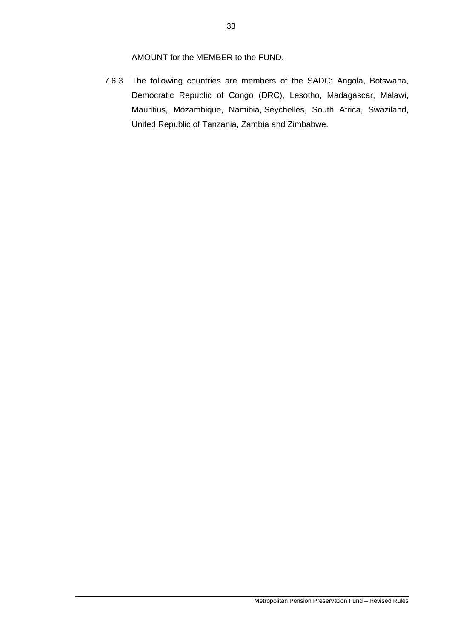AMOUNT for the MEMBER to the FUND.

7.6.3 The following countries are members of the SADC: [Angola,](http://www.sadc.int/) [Botswana,](http://www.sadc.int/) [Democratic Republic of Congo](http://www.sadc.int/) (DRC), [Lesotho,](http://www.sadc.int/) [Madagascar,](http://www.sadc.int/) [Malawi,](http://www.sadc.int/) [Mauritius,](http://www.sadc.int/) [Mozambique,](http://www.sadc.int/) [Namibia,](http://www.sadc.int/) [Seychelles,](http://www.sadc.int/) [South](http://www.sadc.int/) Africa, [Swaziland,](http://www.sadc.int/) [United Republic](http://www.sadc.int/) of Tanzania, [Zambia](http://www.sadc.int/) and [Zimbabwe.](http://www.sadc.int/)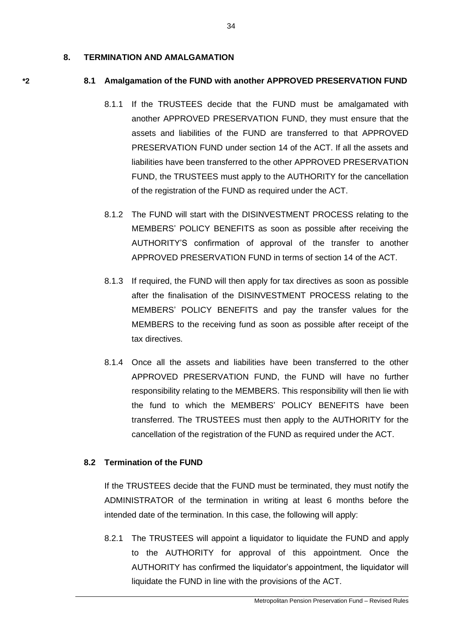#### **8. TERMINATION AND AMALGAMATION**

#### **\*2 8.1 Amalgamation of the FUND with another APPROVED PRESERVATION FUND**

- 8.1.1 If the TRUSTEES decide that the FUND must be amalgamated with another APPROVED PRESERVATION FUND, they must ensure that the assets and liabilities of the FUND are transferred to that APPROVED PRESERVATION FUND under section 14 of the ACT. If all the assets and liabilities have been transferred to the other APPROVED PRESERVATION FUND, the TRUSTEES must apply to the AUTHORITY for the cancellation of the registration of the FUND as required under the ACT.
- 8.1.2 The FUND will start with the DISINVESTMENT PROCESS relating to the MEMBERS' POLICY BENEFITS as soon as possible after receiving the AUTHORITY'S confirmation of approval of the transfer to another APPROVED PRESERVATION FUND in terms of section 14 of the ACT.
- 8.1.3 If required, the FUND will then apply for tax directives as soon as possible after the finalisation of the DISINVESTMENT PROCESS relating to the MEMBERS' POLICY BENEFITS and pay the transfer values for the MEMBERS to the receiving fund as soon as possible after receipt of the tax directives.
- 8.1.4 Once all the assets and liabilities have been transferred to the other APPROVED PRESERVATION FUND, the FUND will have no further responsibility relating to the MEMBERS. This responsibility will then lie with the fund to which the MEMBERS' POLICY BENEFITS have been transferred. The TRUSTEES must then apply to the AUTHORITY for the cancellation of the registration of the FUND as required under the ACT.

### **8.2 Termination of the FUND**

If the TRUSTEES decide that the FUND must be terminated, they must notify the ADMINISTRATOR of the termination in writing at least 6 months before the intended date of the termination. In this case, the following will apply:

8.2.1 The TRUSTEES will appoint a liquidator to liquidate the FUND and apply to the AUTHORITY for approval of this appointment. Once the AUTHORITY has confirmed the liquidator's appointment, the liquidator will liquidate the FUND in line with the provisions of the ACT.

34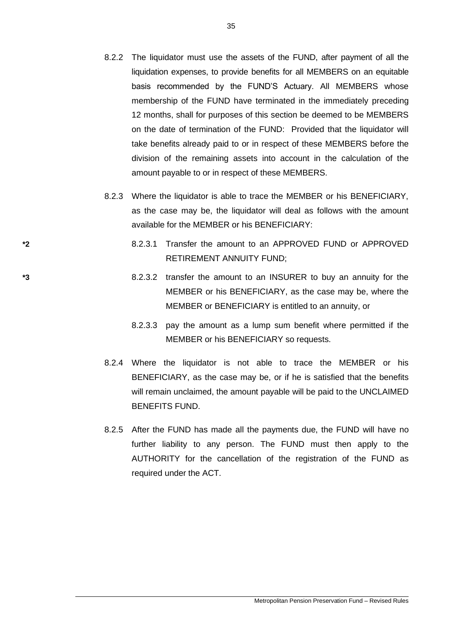- 8.2.2 The liquidator must use the assets of the FUND, after payment of all the liquidation expenses, to provide benefits for all MEMBERS on an equitable basis recommended by the FUND'S Actuary. All MEMBERS whose membership of the FUND have terminated in the immediately preceding 12 months, shall for purposes of this section be deemed to be MEMBERS on the date of termination of the FUND: Provided that the liquidator will take benefits already paid to or in respect of these MEMBERS before the division of the remaining assets into account in the calculation of the amount payable to or in respect of these MEMBERS.
- 8.2.3 Where the liquidator is able to trace the MEMBER or his BENEFICIARY, as the case may be, the liquidator will deal as follows with the amount available for the MEMBER or his BENEFICIARY:
- **\*2** 8.2.3.1 Transfer the amount to an APPROVED FUND or APPROVED RETIREMENT ANNUITY FUND;
- **\*3** 8.2.3.2 transfer the amount to an INSURER to buy an annuity for the MEMBER or his BENEFICIARY, as the case may be, where the MEMBER or BENEFICIARY is entitled to an annuity, or
	- 8.2.3.3 pay the amount as a lump sum benefit where permitted if the MEMBER or his BENEFICIARY so requests.
	- 8.2.4 Where the liquidator is not able to trace the MEMBER or his BENEFICIARY, as the case may be, or if he is satisfied that the benefits will remain unclaimed, the amount payable will be paid to the UNCLAIMED BENEFITS FUND.
	- 8.2.5 After the FUND has made all the payments due, the FUND will have no further liability to any person. The FUND must then apply to the AUTHORITY for the cancellation of the registration of the FUND as required under the ACT.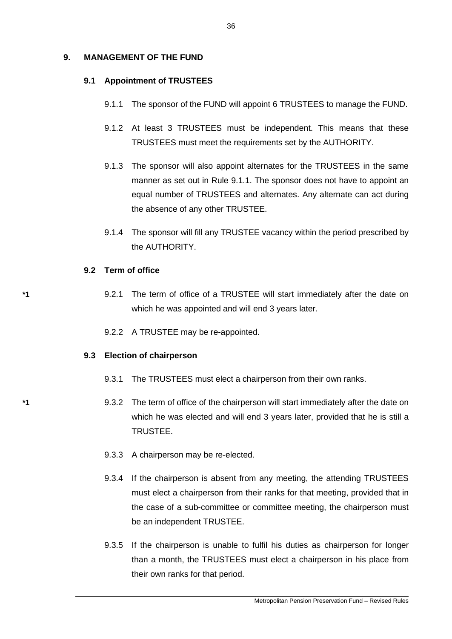### **9. MANAGEMENT OF THE FUND**

#### **9.1 Appointment of TRUSTEES**

- 9.1.1 The sponsor of the FUND will appoint 6 TRUSTEES to manage the FUND.
- 9.1.2 At least 3 TRUSTEES must be independent. This means that these TRUSTEES must meet the requirements set by the AUTHORITY.
- 9.1.3 The sponsor will also appoint alternates for the TRUSTEES in the same manner as set out in Rule 9.1.1. The sponsor does not have to appoint an equal number of TRUSTEES and alternates. Any alternate can act during the absence of any other TRUSTEE.
- 9.1.4 The sponsor will fill any TRUSTEE vacancy within the period prescribed by the AUTHORITY.

#### **9.2 Term of office**

- **\*1** 9.2.1 The term of office of a TRUSTEE will start immediately after the date on which he was appointed and will end 3 years later.
	- 9.2.2 A TRUSTEE may be re-appointed.

#### **9.3 Election of chairperson**

- 9.3.1 The TRUSTEES must elect a chairperson from their own ranks.
- **\*1** 9.3.2 The term of office of the chairperson will start immediately after the date on which he was elected and will end 3 years later, provided that he is still a TRUSTEE.
	- 9.3.3 A chairperson may be re-elected.
	- 9.3.4 If the chairperson is absent from any meeting, the attending TRUSTEES must elect a chairperson from their ranks for that meeting, provided that in the case of a sub-committee or committee meeting, the chairperson must be an independent TRUSTEE.
	- 9.3.5 If the chairperson is unable to fulfil his duties as chairperson for longer than a month, the TRUSTEES must elect a chairperson in his place from their own ranks for that period.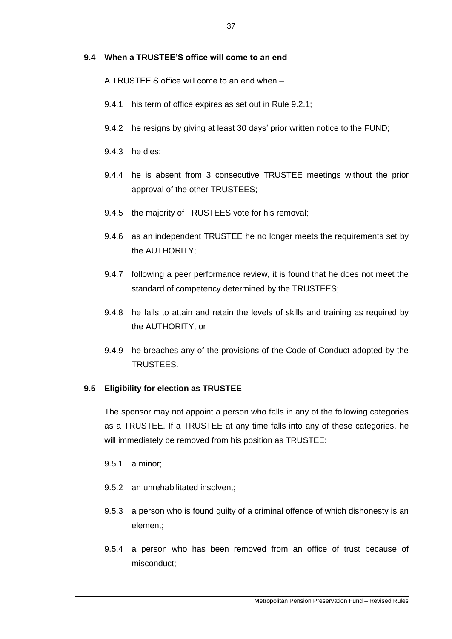### **9.4 When a TRUSTEE'S office will come to an end**

A TRUSTEE'S office will come to an end when –

- 9.4.1 his term of office expires as set out in Rule 9.2.1;
- 9.4.2 he resigns by giving at least 30 days' prior written notice to the FUND;
- 9.4.3 he dies;
- 9.4.4 he is absent from 3 consecutive TRUSTEE meetings without the prior approval of the other TRUSTEES;
- 9.4.5 the majority of TRUSTEES vote for his removal;
- 9.4.6 as an independent TRUSTEE he no longer meets the requirements set by the AUTHORITY;
- 9.4.7 following a peer performance review, it is found that he does not meet the standard of competency determined by the TRUSTEES;
- 9.4.8 he fails to attain and retain the levels of skills and training as required by the AUTHORITY, or
- 9.4.9 he breaches any of the provisions of the Code of Conduct adopted by the TRUSTEES.

# **9.5 Eligibility for election as TRUSTEE**

The sponsor may not appoint a person who falls in any of the following categories as a TRUSTEE. If a TRUSTEE at any time falls into any of these categories, he will immediately be removed from his position as TRUSTEE:

- 9.5.1 a minor;
- 9.5.2 an unrehabilitated insolvent;
- 9.5.3 a person who is found guilty of a criminal offence of which dishonesty is an element;
- 9.5.4 a person who has been removed from an office of trust because of misconduct;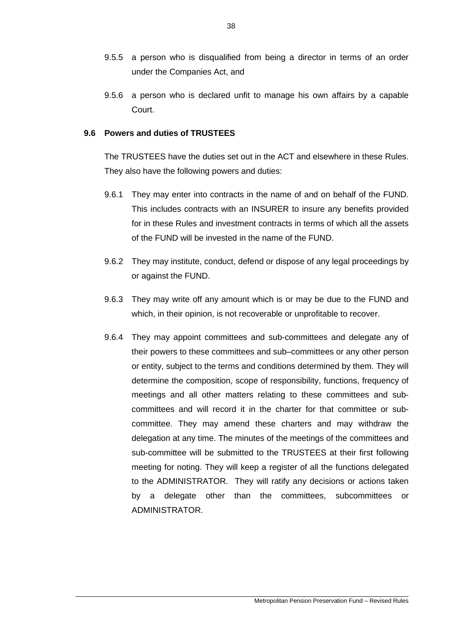- 9.5.5 a person who is disqualified from being a director in terms of an order under the Companies Act, and
- 9.5.6 a person who is declared unfit to manage his own affairs by a capable Court.

### **9.6 Powers and duties of TRUSTEES**

The TRUSTEES have the duties set out in the ACT and elsewhere in these Rules. They also have the following powers and duties:

- 9.6.1 They may enter into contracts in the name of and on behalf of the FUND. This includes contracts with an INSURER to insure any benefits provided for in these Rules and investment contracts in terms of which all the assets of the FUND will be invested in the name of the FUND.
- 9.6.2 They may institute, conduct, defend or dispose of any legal proceedings by or against the FUND.
- 9.6.3 They may write off any amount which is or may be due to the FUND and which, in their opinion, is not recoverable or unprofitable to recover.
- 9.6.4 They may appoint committees and sub-committees and delegate any of their powers to these committees and sub–committees or any other person or entity, subject to the terms and conditions determined by them. They will determine the composition, scope of responsibility, functions, frequency of meetings and all other matters relating to these committees and subcommittees and will record it in the charter for that committee or subcommittee. They may amend these charters and may withdraw the delegation at any time. The minutes of the meetings of the committees and sub-committee will be submitted to the TRUSTEES at their first following meeting for noting. They will keep a register of all the functions delegated to the ADMINISTRATOR. They will ratify any decisions or actions taken by a delegate other than the committees, subcommittees or ADMINISTRATOR.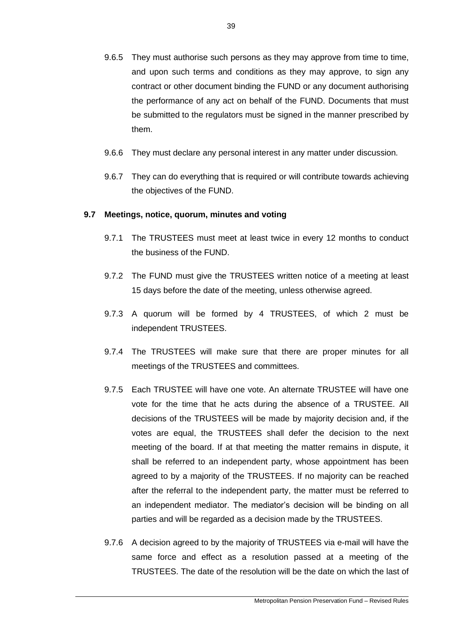- 9.6.5 They must authorise such persons as they may approve from time to time, and upon such terms and conditions as they may approve, to sign any contract or other document binding the FUND or any document authorising the performance of any act on behalf of the FUND. Documents that must be submitted to the regulators must be signed in the manner prescribed by them.
- 9.6.6 They must declare any personal interest in any matter under discussion.
- 9.6.7 They can do everything that is required or will contribute towards achieving the objectives of the FUND.

### **9.7 Meetings, notice, quorum, minutes and voting**

- 9.7.1 The TRUSTEES must meet at least twice in every 12 months to conduct the business of the FUND.
- 9.7.2 The FUND must give the TRUSTEES written notice of a meeting at least 15 days before the date of the meeting, unless otherwise agreed.
- 9.7.3 A quorum will be formed by 4 TRUSTEES, of which 2 must be independent TRUSTEES.
- 9.7.4 The TRUSTEES will make sure that there are proper minutes for all meetings of the TRUSTEES and committees.
- 9.7.5 Each TRUSTEE will have one vote. An alternate TRUSTEE will have one vote for the time that he acts during the absence of a TRUSTEE. All decisions of the TRUSTEES will be made by majority decision and, if the votes are equal, the TRUSTEES shall defer the decision to the next meeting of the board. If at that meeting the matter remains in dispute, it shall be referred to an independent party, whose appointment has been agreed to by a majority of the TRUSTEES. If no majority can be reached after the referral to the independent party, the matter must be referred to an independent mediator. The mediator's decision will be binding on all parties and will be regarded as a decision made by the TRUSTEES.
- 9.7.6 A decision agreed to by the majority of TRUSTEES via e-mail will have the same force and effect as a resolution passed at a meeting of the TRUSTEES. The date of the resolution will be the date on which the last of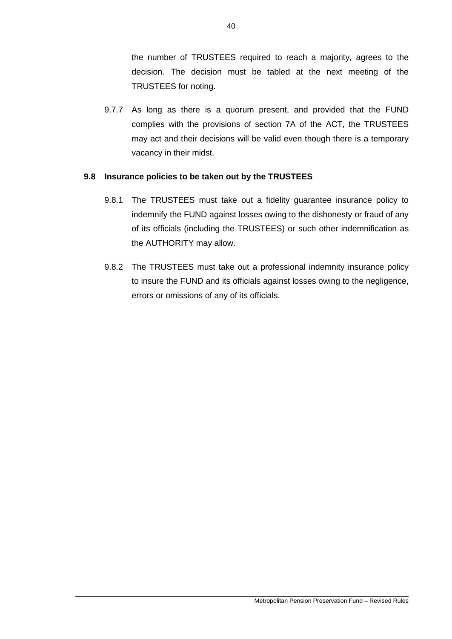the number of TRUSTEES required to reach a majority, agrees to the decision. The decision must be tabled at the next meeting of the TRUSTEES for noting.

9.7.7 As long as there is a quorum present, and provided that the FUND complies with the provisions of section 7A of the ACT, the TRUSTEES may act and their decisions will be valid even though there is a temporary vacancy in their midst.

## **9.8 Insurance policies to be taken out by the TRUSTEES**

- 9.8.1 The TRUSTEES must take out a fidelity guarantee insurance policy to indemnify the FUND against losses owing to the dishonesty or fraud of any of its officials (including the TRUSTEES) or such other indemnification as the AUTHORITY may allow.
- 9.8.2 The TRUSTEES must take out a professional indemnity insurance policy to insure the FUND and its officials against losses owing to the negligence, errors or omissions of any of its officials.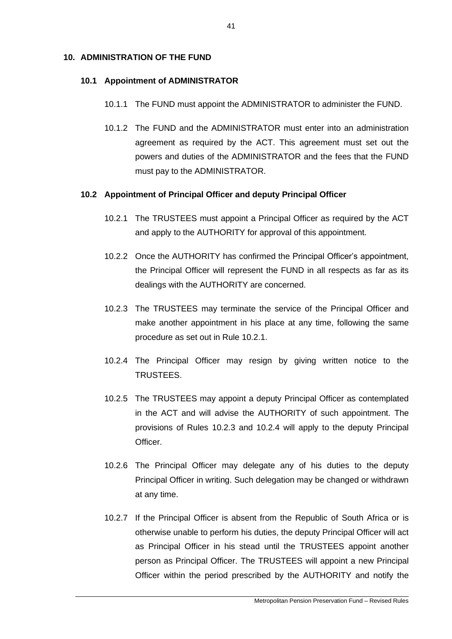### **10. ADMINISTRATION OF THE FUND**

#### **10.1 Appointment of ADMINISTRATOR**

- 10.1.1 The FUND must appoint the ADMINISTRATOR to administer the FUND.
- 10.1.2 The FUND and the ADMINISTRATOR must enter into an administration agreement as required by the ACT. This agreement must set out the powers and duties of the ADMINISTRATOR and the fees that the FUND must pay to the ADMINISTRATOR.

### **10.2 Appointment of Principal Officer and deputy Principal Officer**

- 10.2.1 The TRUSTEES must appoint a Principal Officer as required by the ACT and apply to the AUTHORITY for approval of this appointment.
- 10.2.2 Once the AUTHORITY has confirmed the Principal Officer's appointment, the Principal Officer will represent the FUND in all respects as far as its dealings with the AUTHORITY are concerned.
- 10.2.3 The TRUSTEES may terminate the service of the Principal Officer and make another appointment in his place at any time, following the same procedure as set out in Rule 10.2.1.
- 10.2.4 The Principal Officer may resign by giving written notice to the TRUSTEES.
- 10.2.5 The TRUSTEES may appoint a deputy Principal Officer as contemplated in the ACT and will advise the AUTHORITY of such appointment. The provisions of Rules 10.2.3 and 10.2.4 will apply to the deputy Principal Officer.
- 10.2.6 The Principal Officer may delegate any of his duties to the deputy Principal Officer in writing. Such delegation may be changed or withdrawn at any time.
- 10.2.7 If the Principal Officer is absent from the Republic of South Africa or is otherwise unable to perform his duties, the deputy Principal Officer will act as Principal Officer in his stead until the TRUSTEES appoint another person as Principal Officer. The TRUSTEES will appoint a new Principal Officer within the period prescribed by the AUTHORITY and notify the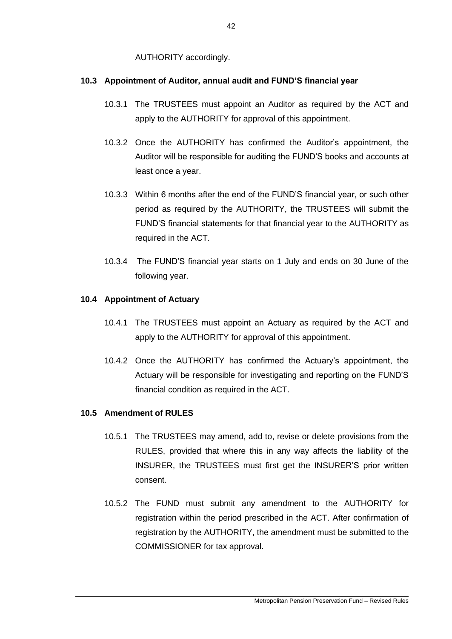AUTHORITY accordingly.

# **10.3 Appointment of Auditor, annual audit and FUND'S financial year**

- 10.3.1 The TRUSTEES must appoint an Auditor as required by the ACT and apply to the AUTHORITY for approval of this appointment.
- 10.3.2 Once the AUTHORITY has confirmed the Auditor's appointment, the Auditor will be responsible for auditing the FUND'S books and accounts at least once a year.
- 10.3.3 Within 6 months after the end of the FUND'S financial year, or such other period as required by the AUTHORITY, the TRUSTEES will submit the FUND'S financial statements for that financial year to the AUTHORITY as required in the ACT.
- 10.3.4 The FUND'S financial year starts on 1 July and ends on 30 June of the following year.

# **10.4 Appointment of Actuary**

- 10.4.1 The TRUSTEES must appoint an Actuary as required by the ACT and apply to the AUTHORITY for approval of this appointment.
- 10.4.2 Once the AUTHORITY has confirmed the Actuary's appointment, the Actuary will be responsible for investigating and reporting on the FUND'S financial condition as required in the ACT.

# **10.5 Amendment of RULES**

- 10.5.1 The TRUSTEES may amend, add to, revise or delete provisions from the RULES, provided that where this in any way affects the liability of the INSURER, the TRUSTEES must first get the INSURER'S prior written consent.
- 10.5.2 The FUND must submit any amendment to the AUTHORITY for registration within the period prescribed in the ACT. After confirmation of registration by the AUTHORITY, the amendment must be submitted to the COMMISSIONER for tax approval.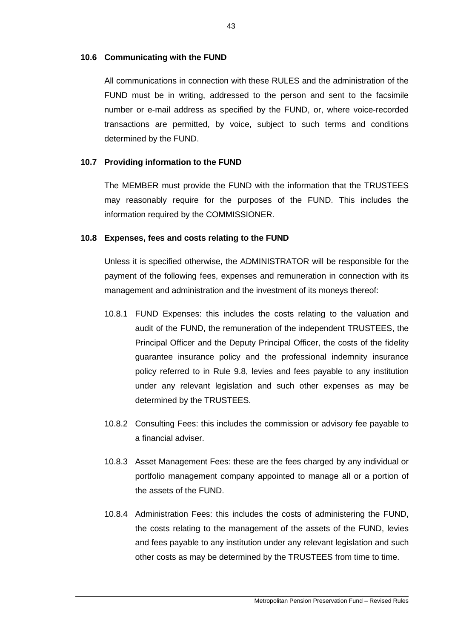### **10.6 Communicating with the FUND**

All communications in connection with these RULES and the administration of the FUND must be in writing, addressed to the person and sent to the facsimile number or e-mail address as specified by the FUND, or, where voice-recorded transactions are permitted, by voice, subject to such terms and conditions determined by the FUND.

# **10.7 Providing information to the FUND**

The MEMBER must provide the FUND with the information that the TRUSTEES may reasonably require for the purposes of the FUND. This includes the information required by the COMMISSIONER.

## **10.8 Expenses, fees and costs relating to the FUND**

Unless it is specified otherwise, the ADMINISTRATOR will be responsible for the payment of the following fees, expenses and remuneration in connection with its management and administration and the investment of its moneys thereof:

- 10.8.1 FUND Expenses: this includes the costs relating to the valuation and audit of the FUND, the remuneration of the independent TRUSTEES, the Principal Officer and the Deputy Principal Officer, the costs of the fidelity guarantee insurance policy and the professional indemnity insurance policy referred to in Rule 9.8, levies and fees payable to any institution under any relevant legislation and such other expenses as may be determined by the TRUSTEES.
- 10.8.2 Consulting Fees: this includes the commission or advisory fee payable to a financial adviser.
- 10.8.3 Asset Management Fees: these are the fees charged by any individual or portfolio management company appointed to manage all or a portion of the assets of the FUND.
- 10.8.4 Administration Fees: this includes the costs of administering the FUND, the costs relating to the management of the assets of the FUND, levies and fees payable to any institution under any relevant legislation and such other costs as may be determined by the TRUSTEES from time to time.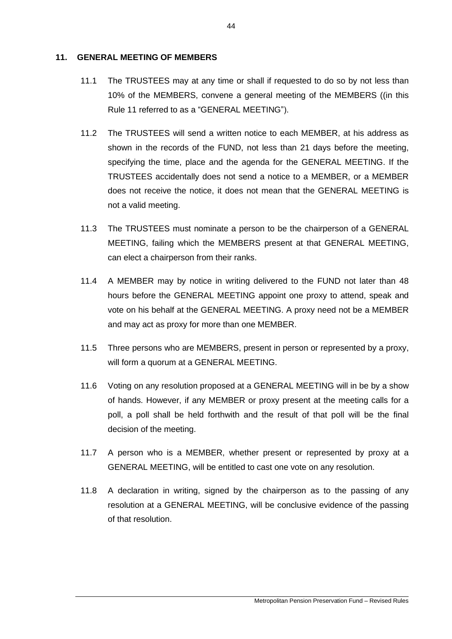### **11. GENERAL MEETING OF MEMBERS**

- 11.1 The TRUSTEES may at any time or shall if requested to do so by not less than 10% of the MEMBERS, convene a general meeting of the MEMBERS ((in this Rule 11 referred to as a "GENERAL MEETING").
- 11.2 The TRUSTEES will send a written notice to each MEMBER, at his address as shown in the records of the FUND, not less than 21 days before the meeting, specifying the time, place and the agenda for the GENERAL MEETING. If the TRUSTEES accidentally does not send a notice to a MEMBER, or a MEMBER does not receive the notice, it does not mean that the GENERAL MEETING is not a valid meeting.
- 11.3 The TRUSTEES must nominate a person to be the chairperson of a GENERAL MEETING, failing which the MEMBERS present at that GENERAL MEETING, can elect a chairperson from their ranks.
- 11.4 A MEMBER may by notice in writing delivered to the FUND not later than 48 hours before the GENERAL MEETING appoint one proxy to attend, speak and vote on his behalf at the GENERAL MEETING. A proxy need not be a MEMBER and may act as proxy for more than one MEMBER.
- 11.5 Three persons who are MEMBERS, present in person or represented by a proxy, will form a quorum at a GENERAL MEETING.
- 11.6 Voting on any resolution proposed at a GENERAL MEETING will in be by a show of hands. However, if any MEMBER or proxy present at the meeting calls for a poll, a poll shall be held forthwith and the result of that poll will be the final decision of the meeting.
- 11.7 A person who is a MEMBER, whether present or represented by proxy at a GENERAL MEETING, will be entitled to cast one vote on any resolution.
- 11.8 A declaration in writing, signed by the chairperson as to the passing of any resolution at a GENERAL MEETING, will be conclusive evidence of the passing of that resolution.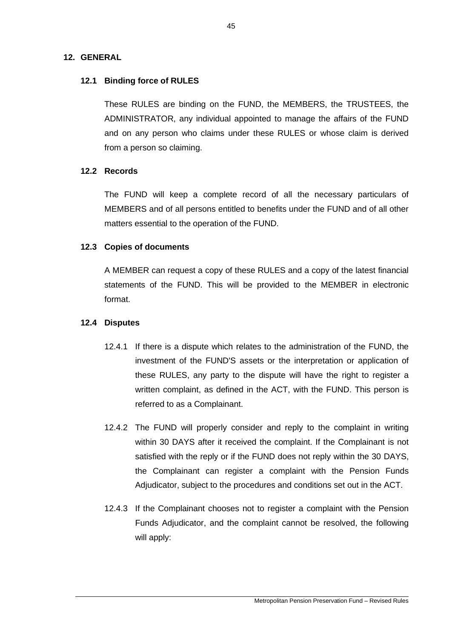# **12. GENERAL**

# **12.1 Binding force of RULES**

These RULES are binding on the FUND, the MEMBERS, the TRUSTEES, the ADMINISTRATOR, any individual appointed to manage the affairs of the FUND and on any person who claims under these RULES or whose claim is derived from a person so claiming.

### **12.2 Records**

The FUND will keep a complete record of all the necessary particulars of MEMBERS and of all persons entitled to benefits under the FUND and of all other matters essential to the operation of the FUND.

## **12.3 Copies of documents**

A MEMBER can request a copy of these RULES and a copy of the latest financial statements of the FUND. This will be provided to the MEMBER in electronic format.

### **12.4 Disputes**

- 12.4.1 If there is a dispute which relates to the administration of the FUND, the investment of the FUND'S assets or the interpretation or application of these RULES, any party to the dispute will have the right to register a written complaint, as defined in the ACT, with the FUND. This person is referred to as a Complainant.
- 12.4.2 The FUND will properly consider and reply to the complaint in writing within 30 DAYS after it received the complaint. If the Complainant is not satisfied with the reply or if the FUND does not reply within the 30 DAYS, the Complainant can register a complaint with the Pension Funds Adjudicator, subject to the procedures and conditions set out in the ACT.
- 12.4.3 If the Complainant chooses not to register a complaint with the Pension Funds Adjudicator, and the complaint cannot be resolved, the following will apply: